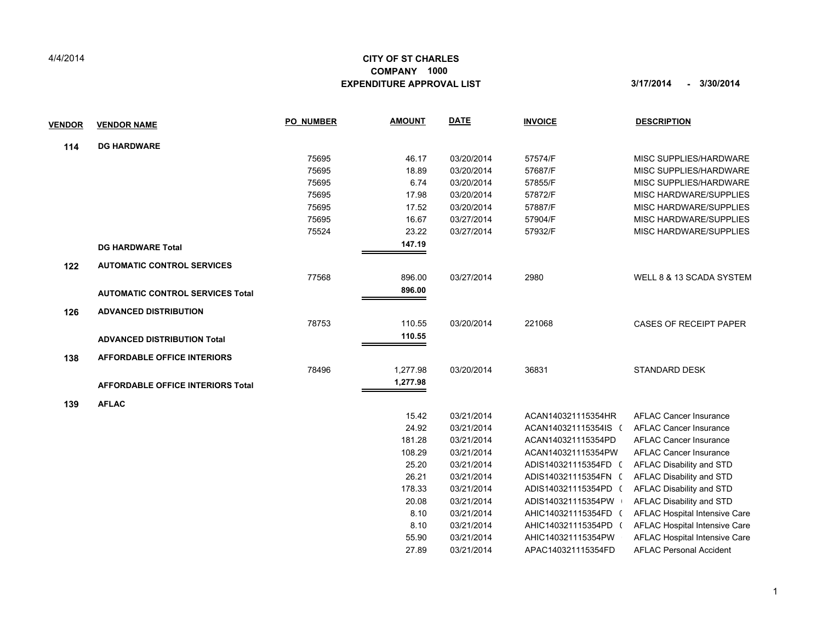## 4/4/2014

## **CITY OF ST CHARLES EXPENDITURE APPROVAL LIST 3/17/2014 - 3/30/2014 COMPANY 1000**

| <b>VENDOR</b> | <b>VENDOR NAME</b>                       | <b>PO NUMBER</b> | <b>AMOUNT</b> | <b>DATE</b> | <b>INVOICE</b>       | <b>DESCRIPTION</b>             |
|---------------|------------------------------------------|------------------|---------------|-------------|----------------------|--------------------------------|
| 114           | <b>DG HARDWARE</b>                       |                  |               |             |                      |                                |
|               |                                          | 75695            | 46.17         | 03/20/2014  | 57574/F              | MISC SUPPLIES/HARDWARE         |
|               |                                          | 75695            | 18.89         | 03/20/2014  | 57687/F              | MISC SUPPLIES/HARDWARE         |
|               |                                          | 75695            | 6.74          | 03/20/2014  | 57855/F              | MISC SUPPLIES/HARDWARE         |
|               |                                          | 75695            | 17.98         | 03/20/2014  | 57872/F              | MISC HARDWARE/SUPPLIES         |
|               |                                          | 75695            | 17.52         | 03/20/2014  | 57887/F              | MISC HARDWARE/SUPPLIES         |
|               |                                          | 75695            | 16.67         | 03/27/2014  | 57904/F              | MISC HARDWARE/SUPPLIES         |
|               |                                          | 75524            | 23.22         | 03/27/2014  | 57932/F              | MISC HARDWARE/SUPPLIES         |
|               | <b>DG HARDWARE Total</b>                 |                  | 147.19        |             |                      |                                |
| 122           | <b>AUTOMATIC CONTROL SERVICES</b>        |                  |               |             |                      |                                |
|               |                                          | 77568            | 896.00        | 03/27/2014  | 2980                 | WELL 8 & 13 SCADA SYSTEM       |
|               | <b>AUTOMATIC CONTROL SERVICES Total</b>  |                  | 896.00        |             |                      |                                |
| 126           | <b>ADVANCED DISTRIBUTION</b>             |                  |               |             |                      |                                |
|               |                                          | 78753            | 110.55        | 03/20/2014  | 221068               | <b>CASES OF RECEIPT PAPER</b>  |
|               | <b>ADVANCED DISTRIBUTION Total</b>       |                  | 110.55        |             |                      |                                |
| 138           | <b>AFFORDABLE OFFICE INTERIORS</b>       |                  |               |             |                      |                                |
|               |                                          | 78496            | 1,277.98      | 03/20/2014  | 36831                | <b>STANDARD DESK</b>           |
|               | <b>AFFORDABLE OFFICE INTERIORS Total</b> |                  | 1,277.98      |             |                      |                                |
| 139           | <b>AFLAC</b>                             |                  |               |             |                      |                                |
|               |                                          |                  | 15.42         | 03/21/2014  | ACAN140321115354HR   | <b>AFLAC Cancer Insurance</b>  |
|               |                                          |                  | 24.92         | 03/21/2014  | ACAN140321115354IS ( | <b>AFLAC Cancer Insurance</b>  |
|               |                                          |                  | 181.28        | 03/21/2014  | ACAN140321115354PD   | <b>AFLAC Cancer Insurance</b>  |
|               |                                          |                  | 108.29        | 03/21/2014  | ACAN140321115354PW   | <b>AFLAC Cancer Insurance</b>  |
|               |                                          |                  | 25.20         | 03/21/2014  | ADIS140321115354FD ( | AFLAC Disability and STD       |
|               |                                          |                  | 26.21         | 03/21/2014  | ADIS140321115354FN ( | AFLAC Disability and STD       |
|               |                                          |                  | 178.33        | 03/21/2014  | ADIS140321115354PD ( | AFLAC Disability and STD       |
|               |                                          |                  | 20.08         | 03/21/2014  | ADIS140321115354PW   | AFLAC Disability and STD       |
|               |                                          |                  | 8.10          | 03/21/2014  | AHIC140321115354FD ( | AFLAC Hospital Intensive Care  |
|               |                                          |                  | 8.10          | 03/21/2014  | AHIC140321115354PD ( | AFLAC Hospital Intensive Care  |
|               |                                          |                  | 55.90         | 03/21/2014  | AHIC140321115354PW   | AFLAC Hospital Intensive Care  |
|               |                                          |                  | 27.89         | 03/21/2014  | APAC140321115354FD   | <b>AFLAC Personal Accident</b> |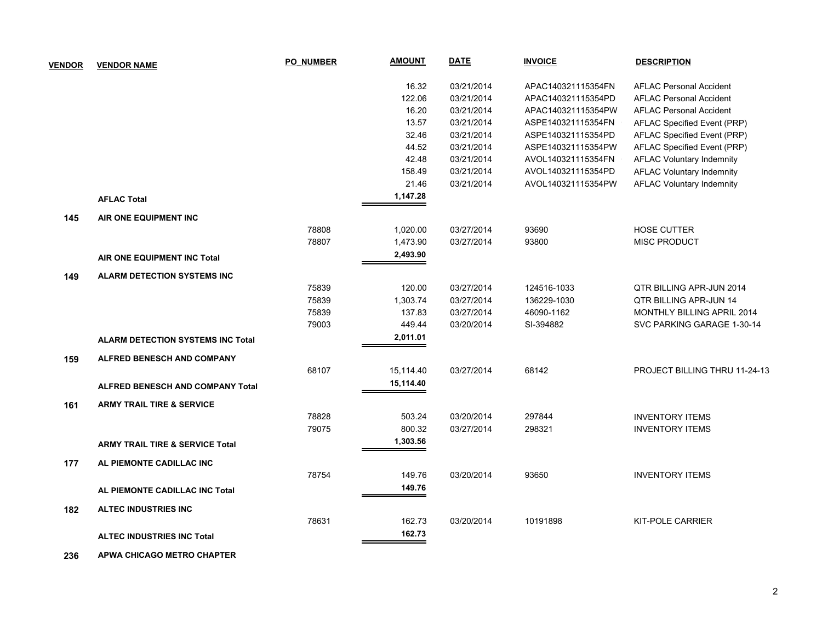| <b>VENDOR</b> | <b>VENDOR NAME</b>                         | <b>PO NUMBER</b> | <b>AMOUNT</b> | <b>DATE</b> | <b>INVOICE</b>     | <b>DESCRIPTION</b>               |
|---------------|--------------------------------------------|------------------|---------------|-------------|--------------------|----------------------------------|
|               |                                            |                  | 16.32         | 03/21/2014  | APAC140321115354FN | <b>AFLAC Personal Accident</b>   |
|               |                                            |                  | 122.06        | 03/21/2014  | APAC140321115354PD | <b>AFLAC Personal Accident</b>   |
|               |                                            |                  | 16.20         | 03/21/2014  | APAC140321115354PW | <b>AFLAC Personal Accident</b>   |
|               |                                            |                  | 13.57         | 03/21/2014  | ASPE140321115354FN | AFLAC Specified Event (PRP)      |
|               |                                            |                  | 32.46         | 03/21/2014  | ASPE140321115354PD | AFLAC Specified Event (PRP)      |
|               |                                            |                  | 44.52         | 03/21/2014  | ASPE140321115354PW | AFLAC Specified Event (PRP)      |
|               |                                            |                  | 42.48         | 03/21/2014  | AVOL140321115354FN | <b>AFLAC Voluntary Indemnity</b> |
|               |                                            |                  | 158.49        | 03/21/2014  | AVOL140321115354PD | <b>AFLAC Voluntary Indemnity</b> |
|               |                                            |                  | 21.46         | 03/21/2014  | AVOL140321115354PW | <b>AFLAC Voluntary Indemnity</b> |
|               | <b>AFLAC Total</b>                         |                  | 1,147.28      |             |                    |                                  |
| 145           | AIR ONE EQUIPMENT INC                      |                  |               |             |                    |                                  |
|               |                                            | 78808            | 1,020.00      | 03/27/2014  | 93690              | HOSE CUTTER                      |
|               |                                            | 78807            | 1,473.90      | 03/27/2014  | 93800              | <b>MISC PRODUCT</b>              |
|               | AIR ONE EQUIPMENT INC Total                |                  | 2,493.90      |             |                    |                                  |
| 149           | <b>ALARM DETECTION SYSTEMS INC</b>         |                  |               |             |                    |                                  |
|               |                                            | 75839            | 120.00        | 03/27/2014  | 124516-1033        | QTR BILLING APR-JUN 2014         |
|               |                                            | 75839            | 1,303.74      | 03/27/2014  | 136229-1030        | <b>QTR BILLING APR-JUN 14</b>    |
|               |                                            | 75839            | 137.83        | 03/27/2014  | 46090-1162         | MONTHLY BILLING APRIL 2014       |
|               |                                            | 79003            | 449.44        | 03/20/2014  | SI-394882          | SVC PARKING GARAGE 1-30-14       |
|               | <b>ALARM DETECTION SYSTEMS INC Total</b>   |                  | 2,011.01      |             |                    |                                  |
| 159           | <b>ALFRED BENESCH AND COMPANY</b>          |                  |               |             |                    |                                  |
|               |                                            | 68107            | 15,114.40     | 03/27/2014  | 68142              | PROJECT BILLING THRU 11-24-13    |
|               | <b>ALFRED BENESCH AND COMPANY Total</b>    |                  | 15,114.40     |             |                    |                                  |
| 161           | <b>ARMY TRAIL TIRE &amp; SERVICE</b>       |                  |               |             |                    |                                  |
|               |                                            | 78828            | 503.24        | 03/20/2014  | 297844             | <b>INVENTORY ITEMS</b>           |
|               |                                            | 79075            | 800.32        | 03/27/2014  | 298321             | <b>INVENTORY ITEMS</b>           |
|               | <b>ARMY TRAIL TIRE &amp; SERVICE Total</b> |                  | 1,303.56      |             |                    |                                  |
| 177           | AL PIEMONTE CADILLAC INC                   |                  |               |             |                    |                                  |
|               |                                            | 78754            | 149.76        | 03/20/2014  | 93650              | <b>INVENTORY ITEMS</b>           |
|               | AL PIEMONTE CADILLAC INC Total             |                  | 149.76        |             |                    |                                  |
| 182           | <b>ALTEC INDUSTRIES INC</b>                |                  |               |             |                    |                                  |
|               |                                            | 78631            | 162.73        | 03/20/2014  | 10191898           | <b>KIT-POLE CARRIER</b>          |
|               | <b>ALTEC INDUSTRIES INC Total</b>          |                  | 162.73        |             |                    |                                  |
|               |                                            |                  |               |             |                    |                                  |

 **236 APWA CHICAGO METRO CHAPTER**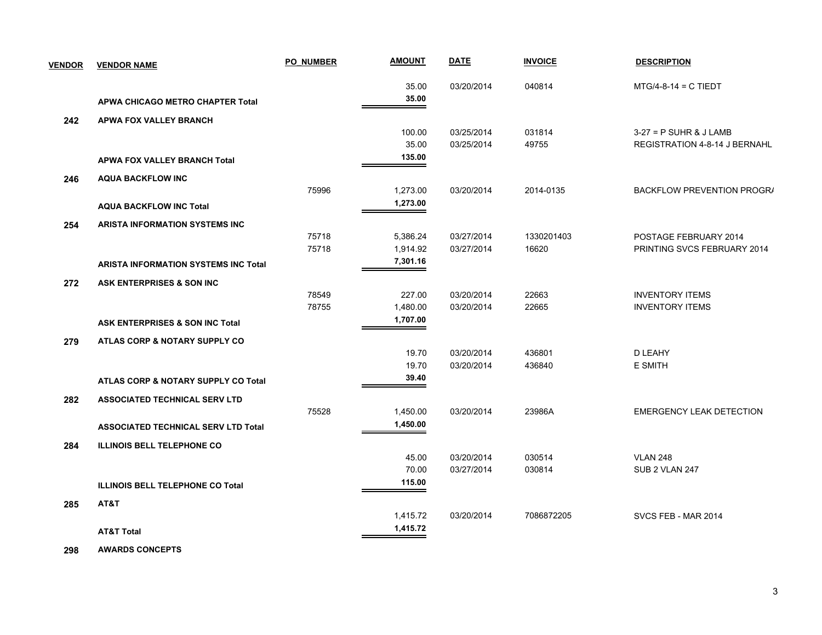| <b>VENDOR</b> | <b>VENDOR NAME</b>                          | <b>PO NUMBER</b> | <b>AMOUNT</b> | <b>DATE</b> | <b>INVOICE</b> | <b>DESCRIPTION</b>                   |
|---------------|---------------------------------------------|------------------|---------------|-------------|----------------|--------------------------------------|
|               |                                             |                  | 35.00         | 03/20/2014  | 040814         | $MTG/4-8-14 = C TIEDT$               |
|               | APWA CHICAGO METRO CHAPTER Total            |                  | 35.00         |             |                |                                      |
| 242           | <b>APWA FOX VALLEY BRANCH</b>               |                  |               |             |                |                                      |
|               |                                             |                  | 100.00        | 03/25/2014  | 031814         | $3-27 = P$ SUHR & J LAMB             |
|               |                                             |                  | 35.00         | 03/25/2014  | 49755          | <b>REGISTRATION 4-8-14 J BERNAHL</b> |
|               | <b>APWA FOX VALLEY BRANCH Total</b>         |                  | 135.00        |             |                |                                      |
| 246           | <b>AQUA BACKFLOW INC</b>                    |                  |               |             |                |                                      |
|               |                                             | 75996            | 1,273.00      | 03/20/2014  | 2014-0135      | BACKFLOW PREVENTION PROGRA           |
|               | <b>AQUA BACKFLOW INC Total</b>              |                  | 1,273.00      |             |                |                                      |
| 254           | ARISTA INFORMATION SYSTEMS INC              |                  |               |             |                |                                      |
|               |                                             | 75718            | 5,386.24      | 03/27/2014  | 1330201403     | POSTAGE FEBRUARY 2014                |
|               |                                             | 75718            | 1,914.92      | 03/27/2014  | 16620          | PRINTING SVCS FEBRUARY 2014          |
|               | <b>ARISTA INFORMATION SYSTEMS INC Total</b> |                  | 7,301.16      |             |                |                                      |
| 272           | ASK ENTERPRISES & SON INC                   |                  |               |             |                |                                      |
|               |                                             | 78549            | 227.00        | 03/20/2014  | 22663          | <b>INVENTORY ITEMS</b>               |
|               |                                             | 78755            | 1,480.00      | 03/20/2014  | 22665          | <b>INVENTORY ITEMS</b>               |
|               | <b>ASK ENTERPRISES &amp; SON INC Total</b>  |                  | 1,707.00      |             |                |                                      |
| 279           | ATLAS CORP & NOTARY SUPPLY CO               |                  |               |             |                |                                      |
|               |                                             |                  | 19.70         | 03/20/2014  | 436801         | D LEAHY                              |
|               |                                             |                  | 19.70         | 03/20/2014  | 436840         | <b>E SMITH</b>                       |
|               | ATLAS CORP & NOTARY SUPPLY CO Total         |                  | 39.40         |             |                |                                      |
| 282           | <b>ASSOCIATED TECHNICAL SERV LTD</b>        |                  |               |             |                |                                      |
|               |                                             | 75528            | 1,450.00      | 03/20/2014  | 23986A         | <b>EMERGENCY LEAK DETECTION</b>      |
|               | <b>ASSOCIATED TECHNICAL SERV LTD Total</b>  |                  | 1,450.00      |             |                |                                      |
| 284           | <b>ILLINOIS BELL TELEPHONE CO</b>           |                  |               |             |                |                                      |
|               |                                             |                  | 45.00         | 03/20/2014  | 030514         | <b>VLAN 248</b>                      |
|               |                                             |                  | 70.00         | 03/27/2014  | 030814         | SUB 2 VLAN 247                       |
|               | <b>ILLINOIS BELL TELEPHONE CO Total</b>     |                  | 115.00        |             |                |                                      |
| 285           | AT&T                                        |                  |               |             |                |                                      |
|               |                                             |                  | 1,415.72      | 03/20/2014  | 7086872205     | SVCS FEB - MAR 2014                  |
|               | <b>AT&amp;T Total</b>                       |                  | 1,415.72      |             |                |                                      |
|               |                                             |                  |               |             |                |                                      |

 **298 AWARDS CONCEPTS**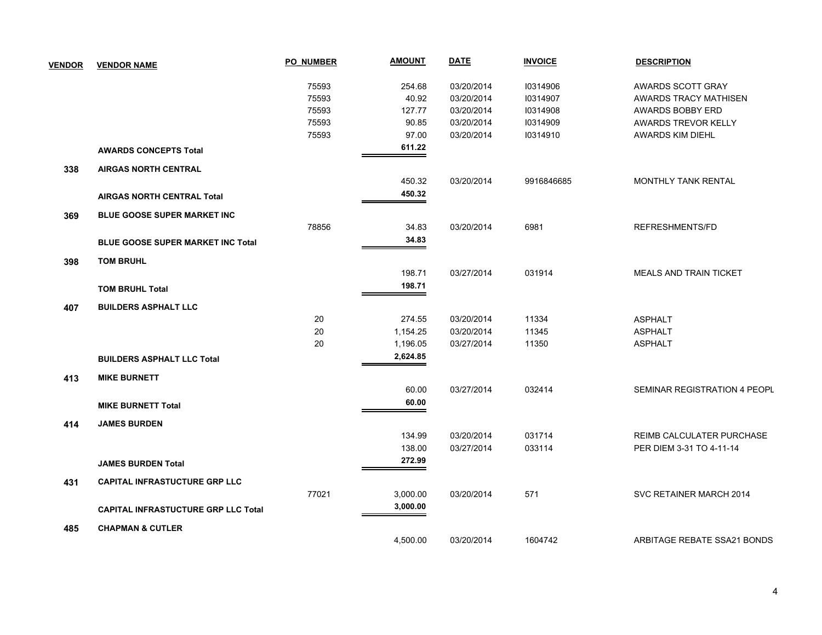| <b>VENDOR</b> | <b>VENDOR NAME</b>                         | <b>PO NUMBER</b> | <b>AMOUNT</b> | <b>DATE</b> | <b>INVOICE</b> | <b>DESCRIPTION</b>            |
|---------------|--------------------------------------------|------------------|---------------|-------------|----------------|-------------------------------|
|               |                                            | 75593            | 254.68        | 03/20/2014  | 10314906       | AWARDS SCOTT GRAY             |
|               |                                            | 75593            | 40.92         | 03/20/2014  | 10314907       | AWARDS TRACY MATHISEN         |
|               |                                            | 75593            | 127.77        | 03/20/2014  | 10314908       | <b>AWARDS BOBBY ERD</b>       |
|               |                                            | 75593            | 90.85         | 03/20/2014  | 10314909       | AWARDS TREVOR KELLY           |
|               |                                            | 75593            | 97.00         | 03/20/2014  | 10314910       | <b>AWARDS KIM DIEHL</b>       |
|               | <b>AWARDS CONCEPTS Total</b>               |                  | 611.22        |             |                |                               |
| 338           | <b>AIRGAS NORTH CENTRAL</b>                |                  |               |             |                |                               |
|               |                                            |                  | 450.32        | 03/20/2014  | 9916846685     | MONTHLY TANK RENTAL           |
|               | <b>AIRGAS NORTH CENTRAL Total</b>          |                  | 450.32        |             |                |                               |
| 369           | <b>BLUE GOOSE SUPER MARKET INC</b>         |                  |               |             |                |                               |
|               |                                            | 78856            | 34.83         | 03/20/2014  | 6981           | REFRESHMENTS/FD               |
|               | <b>BLUE GOOSE SUPER MARKET INC Total</b>   |                  | 34.83         |             |                |                               |
| 398           | <b>TOM BRUHL</b>                           |                  |               |             |                |                               |
|               |                                            |                  | 198.71        | 03/27/2014  | 031914         | <b>MEALS AND TRAIN TICKET</b> |
|               | <b>TOM BRUHL Total</b>                     |                  | 198.71        |             |                |                               |
| 407           | <b>BUILDERS ASPHALT LLC</b>                |                  |               |             |                |                               |
|               |                                            | 20               | 274.55        | 03/20/2014  | 11334          | <b>ASPHALT</b>                |
|               |                                            | 20               | 1,154.25      | 03/20/2014  | 11345          | <b>ASPHALT</b>                |
|               |                                            | 20               | 1,196.05      | 03/27/2014  | 11350          | <b>ASPHALT</b>                |
|               | <b>BUILDERS ASPHALT LLC Total</b>          |                  | 2,624.85      |             |                |                               |
| 413           | <b>MIKE BURNETT</b>                        |                  |               |             |                |                               |
|               |                                            |                  | 60.00         | 03/27/2014  | 032414         | SEMINAR REGISTRATION 4 PEOPL  |
|               | <b>MIKE BURNETT Total</b>                  |                  | 60.00         |             |                |                               |
| 414           | <b>JAMES BURDEN</b>                        |                  |               |             |                |                               |
|               |                                            |                  | 134.99        | 03/20/2014  | 031714         | REIMB CALCULATER PURCHASE     |
|               |                                            |                  | 138.00        | 03/27/2014  | 033114         | PER DIEM 3-31 TO 4-11-14      |
|               | <b>JAMES BURDEN Total</b>                  |                  | 272.99        |             |                |                               |
| 431           | <b>CAPITAL INFRASTUCTURE GRP LLC</b>       |                  |               |             |                |                               |
|               |                                            | 77021            | 3,000.00      | 03/20/2014  | 571            | SVC RETAINER MARCH 2014       |
|               |                                            |                  | 3,000.00      |             |                |                               |
|               | <b>CAPITAL INFRASTUCTURE GRP LLC Total</b> |                  |               |             |                |                               |
| 485           | <b>CHAPMAN &amp; CUTLER</b>                |                  |               |             |                |                               |
|               |                                            |                  | 4,500.00      | 03/20/2014  | 1604742        | ARBITAGE REBATE SSA21 BONDS   |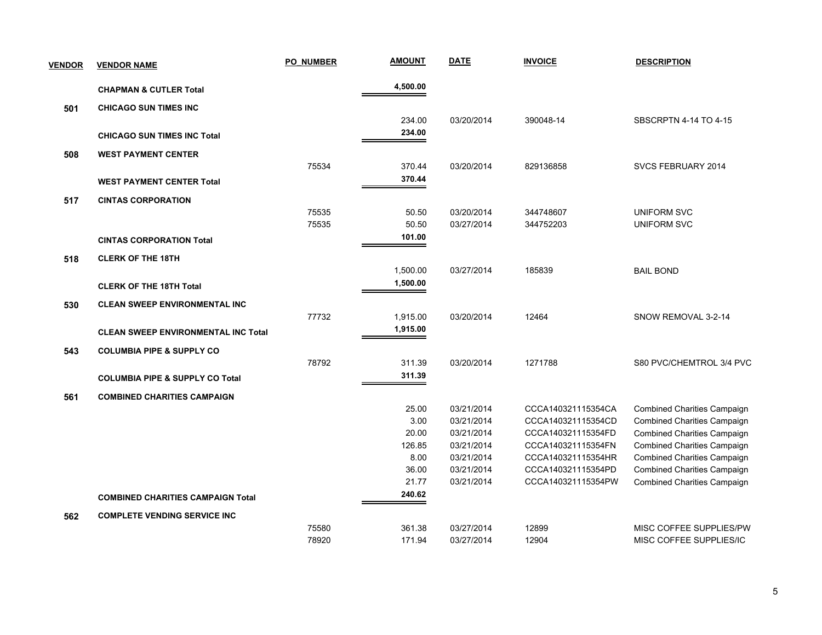| <b>VENDOR</b> | <b>VENDOR NAME</b>                         | <b>PO NUMBER</b> | <b>AMOUNT</b> | <b>DATE</b> | <b>INVOICE</b>     | <b>DESCRIPTION</b>                 |
|---------------|--------------------------------------------|------------------|---------------|-------------|--------------------|------------------------------------|
|               | <b>CHAPMAN &amp; CUTLER Total</b>          |                  | 4,500.00      |             |                    |                                    |
| 501           | <b>CHICAGO SUN TIMES INC</b>               |                  |               |             |                    |                                    |
|               |                                            |                  | 234.00        | 03/20/2014  | 390048-14          | SBSCRPTN 4-14 TO 4-15              |
|               | <b>CHICAGO SUN TIMES INC Total</b>         |                  | 234.00        |             |                    |                                    |
| 508           | <b>WEST PAYMENT CENTER</b>                 |                  |               |             |                    |                                    |
|               |                                            | 75534            | 370.44        | 03/20/2014  | 829136858          | SVCS FEBRUARY 2014                 |
|               | <b>WEST PAYMENT CENTER Total</b>           |                  | 370.44        |             |                    |                                    |
| 517           | <b>CINTAS CORPORATION</b>                  |                  |               |             |                    |                                    |
|               |                                            | 75535            | 50.50         | 03/20/2014  | 344748607          | <b>UNIFORM SVC</b>                 |
|               |                                            | 75535            | 50.50         | 03/27/2014  | 344752203          | <b>UNIFORM SVC</b>                 |
|               | <b>CINTAS CORPORATION Total</b>            |                  | 101.00        |             |                    |                                    |
| 518           | <b>CLERK OF THE 18TH</b>                   |                  |               |             |                    |                                    |
|               |                                            |                  | 1,500.00      | 03/27/2014  | 185839             | <b>BAIL BOND</b>                   |
|               | <b>CLERK OF THE 18TH Total</b>             |                  | 1,500.00      |             |                    |                                    |
| 530           | <b>CLEAN SWEEP ENVIRONMENTAL INC</b>       |                  |               |             |                    |                                    |
|               |                                            | 77732            | 1,915.00      | 03/20/2014  | 12464              | SNOW REMOVAL 3-2-14                |
|               | <b>CLEAN SWEEP ENVIRONMENTAL INC Total</b> |                  | 1,915.00      |             |                    |                                    |
| 543           | <b>COLUMBIA PIPE &amp; SUPPLY CO</b>       |                  |               |             |                    |                                    |
|               |                                            | 78792            | 311.39        | 03/20/2014  | 1271788            | S80 PVC/CHEMTROL 3/4 PVC           |
|               | <b>COLUMBIA PIPE &amp; SUPPLY CO Total</b> |                  | 311.39        |             |                    |                                    |
| 561           | <b>COMBINED CHARITIES CAMPAIGN</b>         |                  |               |             |                    |                                    |
|               |                                            |                  | 25.00         | 03/21/2014  | CCCA140321115354CA | <b>Combined Charities Campaign</b> |
|               |                                            |                  | 3.00          | 03/21/2014  | CCCA140321115354CD | <b>Combined Charities Campaign</b> |
|               |                                            |                  | 20.00         | 03/21/2014  | CCCA140321115354FD | <b>Combined Charities Campaign</b> |
|               |                                            |                  | 126.85        | 03/21/2014  | CCCA140321115354FN | <b>Combined Charities Campaign</b> |
|               |                                            |                  | 8.00          | 03/21/2014  | CCCA140321115354HR | <b>Combined Charities Campaign</b> |
|               |                                            |                  | 36.00         | 03/21/2014  | CCCA140321115354PD | <b>Combined Charities Campaign</b> |
|               |                                            |                  | 21.77         | 03/21/2014  | CCCA140321115354PW | <b>Combined Charities Campaign</b> |
|               | <b>COMBINED CHARITIES CAMPAIGN Total</b>   |                  | 240.62        |             |                    |                                    |
| 562           | <b>COMPLETE VENDING SERVICE INC</b>        |                  |               |             |                    |                                    |
|               |                                            | 75580            | 361.38        | 03/27/2014  | 12899              | MISC COFFEE SUPPLIES/PW            |
|               |                                            | 78920            | 171.94        | 03/27/2014  | 12904              | MISC COFFEE SUPPLIES/IC            |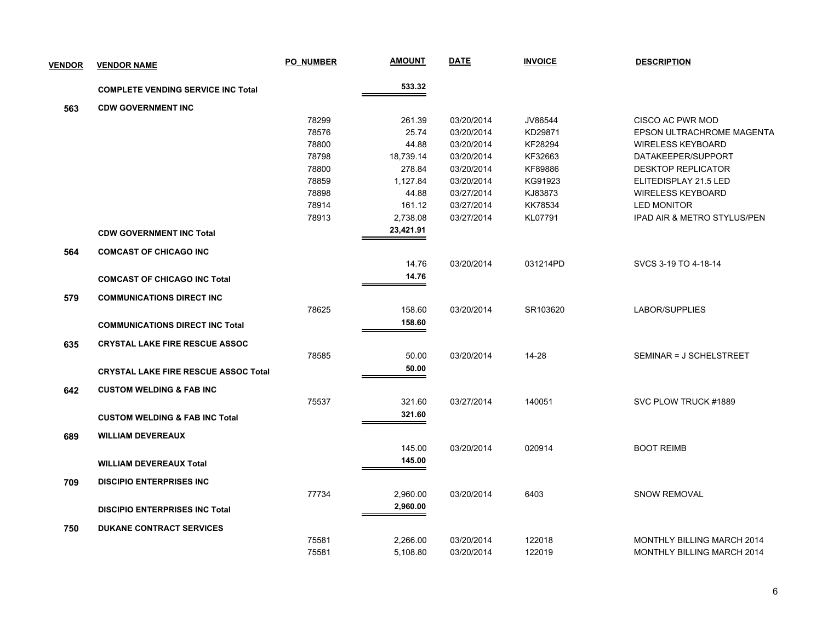| <b>VENDOR</b> | <b>VENDOR NAME</b>                          | PO NUMBER | <b>AMOUNT</b> | <b>DATE</b> | <b>INVOICE</b> | <b>DESCRIPTION</b>                |
|---------------|---------------------------------------------|-----------|---------------|-------------|----------------|-----------------------------------|
|               | <b>COMPLETE VENDING SERVICE INC Total</b>   |           | 533.32        |             |                |                                   |
| 563           | <b>CDW GOVERNMENT INC</b>                   |           |               |             |                |                                   |
|               |                                             | 78299     | 261.39        | 03/20/2014  | JV86544        | CISCO AC PWR MOD                  |
|               |                                             | 78576     | 25.74         | 03/20/2014  | KD29871        | EPSON ULTRACHROME MAGENTA         |
|               |                                             | 78800     | 44.88         | 03/20/2014  | KF28294        | <b>WIRELESS KEYBOARD</b>          |
|               |                                             | 78798     | 18,739.14     | 03/20/2014  | KF32663        | DATAKEEPER/SUPPORT                |
|               |                                             | 78800     | 278.84        | 03/20/2014  | KF89886        | <b>DESKTOP REPLICATOR</b>         |
|               |                                             | 78859     | 1,127.84      | 03/20/2014  | KG91923        | ELITEDISPLAY 21.5 LED             |
|               |                                             | 78898     | 44.88         | 03/27/2014  | KJ83873        | <b>WIRELESS KEYBOARD</b>          |
|               |                                             | 78914     | 161.12        | 03/27/2014  | KK78534        | <b>LED MONITOR</b>                |
|               |                                             | 78913     | 2,738.08      | 03/27/2014  | KL07791        | IPAD AIR & METRO STYLUS/PEN       |
|               | <b>CDW GOVERNMENT INC Total</b>             |           | 23,421.91     |             |                |                                   |
| 564           | <b>COMCAST OF CHICAGO INC</b>               |           |               |             |                |                                   |
|               |                                             |           | 14.76         | 03/20/2014  | 031214PD       | SVCS 3-19 TO 4-18-14              |
|               | <b>COMCAST OF CHICAGO INC Total</b>         |           | 14.76         |             |                |                                   |
| 579           | <b>COMMUNICATIONS DIRECT INC</b>            |           |               |             |                |                                   |
|               |                                             | 78625     | 158.60        | 03/20/2014  | SR103620       | LABOR/SUPPLIES                    |
|               | <b>COMMUNICATIONS DIRECT INC Total</b>      |           | 158.60        |             |                |                                   |
| 635           | <b>CRYSTAL LAKE FIRE RESCUE ASSOC</b>       |           |               |             |                |                                   |
|               |                                             | 78585     | 50.00         | 03/20/2014  | 14-28          | SEMINAR = J SCHELSTREET           |
|               | <b>CRYSTAL LAKE FIRE RESCUE ASSOC Total</b> |           | 50.00         |             |                |                                   |
| 642           | <b>CUSTOM WELDING &amp; FAB INC</b>         |           |               |             |                |                                   |
|               |                                             | 75537     | 321.60        | 03/27/2014  | 140051         | SVC PLOW TRUCK #1889              |
|               | <b>CUSTOM WELDING &amp; FAB INC Total</b>   |           | 321.60        |             |                |                                   |
| 689           | <b>WILLIAM DEVEREAUX</b>                    |           |               |             |                |                                   |
|               |                                             |           | 145.00        | 03/20/2014  | 020914         | <b>BOOT REIMB</b>                 |
|               |                                             |           | 145.00        |             |                |                                   |
|               | <b>WILLIAM DEVEREAUX Total</b>              |           |               |             |                |                                   |
| 709           | <b>DISCIPIO ENTERPRISES INC</b>             |           |               |             |                |                                   |
|               |                                             | 77734     | 2,960.00      | 03/20/2014  | 6403           | <b>SNOW REMOVAL</b>               |
|               | <b>DISCIPIO ENTERPRISES INC Total</b>       |           | 2,960.00      |             |                |                                   |
| 750           | <b>DUKANE CONTRACT SERVICES</b>             |           |               |             |                |                                   |
|               |                                             | 75581     | 2,266.00      | 03/20/2014  | 122018         | <b>MONTHLY BILLING MARCH 2014</b> |
|               |                                             | 75581     | 5,108.80      | 03/20/2014  | 122019         | MONTHLY BILLING MARCH 2014        |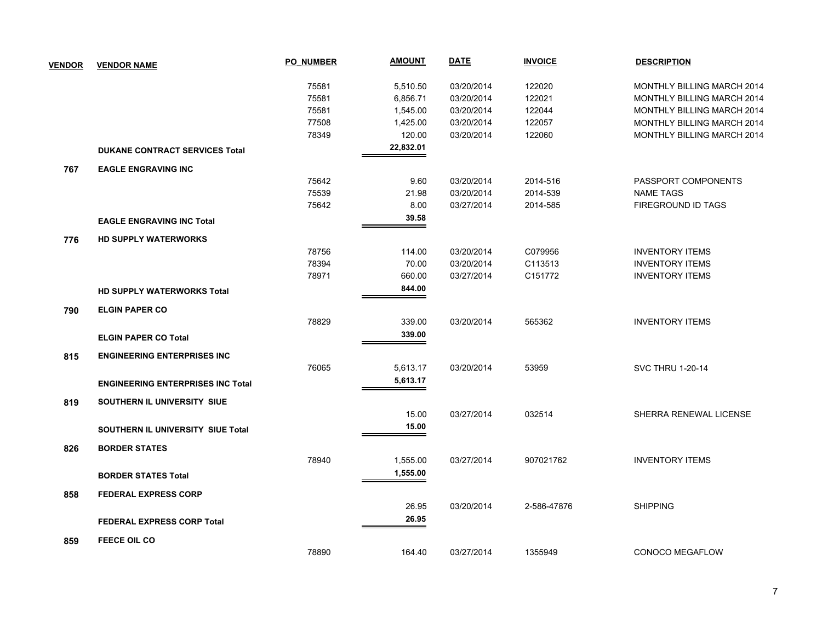| <b>VENDOR</b> | <b>VENDOR NAME</b>                       | <b>PO NUMBER</b> | <b>AMOUNT</b> | <b>DATE</b> | <b>INVOICE</b> | <b>DESCRIPTION</b>                |
|---------------|------------------------------------------|------------------|---------------|-------------|----------------|-----------------------------------|
|               |                                          | 75581            | 5,510.50      | 03/20/2014  | 122020         | MONTHLY BILLING MARCH 2014        |
|               |                                          | 75581            | 6,856.71      | 03/20/2014  | 122021         | MONTHLY BILLING MARCH 2014        |
|               |                                          | 75581            | 1,545.00      | 03/20/2014  | 122044         | <b>MONTHLY BILLING MARCH 2014</b> |
|               |                                          | 77508            | 1,425.00      | 03/20/2014  | 122057         | MONTHLY BILLING MARCH 2014        |
|               |                                          | 78349            | 120.00        | 03/20/2014  | 122060         | MONTHLY BILLING MARCH 2014        |
|               | <b>DUKANE CONTRACT SERVICES Total</b>    |                  | 22,832.01     |             |                |                                   |
| 767           | <b>EAGLE ENGRAVING INC</b>               |                  |               |             |                |                                   |
|               |                                          | 75642            | 9.60          | 03/20/2014  | 2014-516       | PASSPORT COMPONENTS               |
|               |                                          | 75539            | 21.98         | 03/20/2014  | 2014-539       | <b>NAME TAGS</b>                  |
|               |                                          | 75642            | 8.00          | 03/27/2014  | 2014-585       | FIREGROUND ID TAGS                |
|               | <b>EAGLE ENGRAVING INC Total</b>         |                  | 39.58         |             |                |                                   |
| 776           | <b>HD SUPPLY WATERWORKS</b>              |                  |               |             |                |                                   |
|               |                                          | 78756            | 114.00        | 03/20/2014  | C079956        | <b>INVENTORY ITEMS</b>            |
|               |                                          | 78394            | 70.00         | 03/20/2014  | C113513        | <b>INVENTORY ITEMS</b>            |
|               |                                          | 78971            | 660.00        | 03/27/2014  | C151772        | <b>INVENTORY ITEMS</b>            |
|               | <b>HD SUPPLY WATERWORKS Total</b>        |                  | 844.00        |             |                |                                   |
| 790           | <b>ELGIN PAPER CO</b>                    |                  |               |             |                |                                   |
|               |                                          | 78829            | 339.00        | 03/20/2014  | 565362         | <b>INVENTORY ITEMS</b>            |
|               | <b>ELGIN PAPER CO Total</b>              |                  | 339.00        |             |                |                                   |
| 815           | <b>ENGINEERING ENTERPRISES INC.</b>      |                  |               |             |                |                                   |
|               |                                          | 76065            | 5,613.17      | 03/20/2014  | 53959          | <b>SVC THRU 1-20-14</b>           |
|               | <b>ENGINEERING ENTERPRISES INC Total</b> |                  | 5,613.17      |             |                |                                   |
| 819           | SOUTHERN IL UNIVERSITY SIUE              |                  |               |             |                |                                   |
|               |                                          |                  | 15.00         | 03/27/2014  | 032514         | SHERRA RENEWAL LICENSE            |
|               | SOUTHERN IL UNIVERSITY SIUE Total        |                  | 15.00         |             |                |                                   |
| 826           | <b>BORDER STATES</b>                     |                  |               |             |                |                                   |
|               |                                          | 78940            | 1,555.00      | 03/27/2014  | 907021762      | <b>INVENTORY ITEMS</b>            |
|               | <b>BORDER STATES Total</b>               |                  | 1,555.00      |             |                |                                   |
| 858           | <b>FEDERAL EXPRESS CORP</b>              |                  |               |             |                |                                   |
|               |                                          |                  | 26.95         | 03/20/2014  | 2-586-47876    | <b>SHIPPING</b>                   |
|               | <b>FEDERAL EXPRESS CORP Total</b>        |                  | 26.95         |             |                |                                   |
| 859           | <b>FEECE OIL CO</b>                      |                  |               |             |                |                                   |
|               |                                          | 78890            | 164.40        | 03/27/2014  | 1355949        | CONOCO MEGAFLOW                   |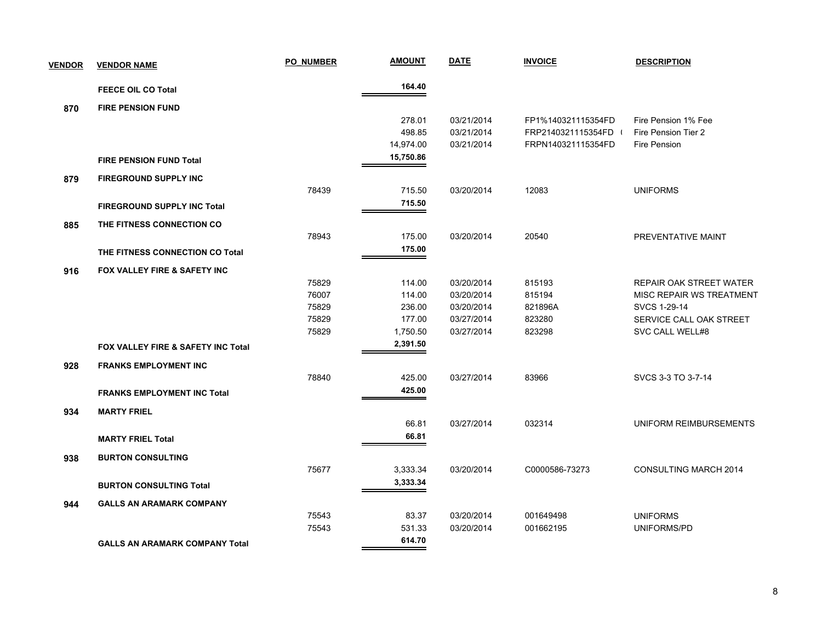| <b>VENDOR</b> | <b>VENDOR NAME</b>                    | <b>PO NUMBER</b> | <b>AMOUNT</b> | <b>DATE</b> | <b>INVOICE</b>     | <b>DESCRIPTION</b>             |
|---------------|---------------------------------------|------------------|---------------|-------------|--------------------|--------------------------------|
|               | <b>FEECE OIL CO Total</b>             |                  | 164.40        |             |                    |                                |
| 870           | <b>FIRE PENSION FUND</b>              |                  |               |             |                    |                                |
|               |                                       |                  | 278.01        | 03/21/2014  | FP1%140321115354FD | Fire Pension 1% Fee            |
|               |                                       |                  | 498.85        | 03/21/2014  | FRP2140321115354FD | Fire Pension Tier 2            |
|               |                                       |                  | 14,974.00     | 03/21/2014  | FRPN140321115354FD | Fire Pension                   |
|               | <b>FIRE PENSION FUND Total</b>        |                  | 15,750.86     |             |                    |                                |
| 879           | <b>FIREGROUND SUPPLY INC</b>          |                  |               |             |                    |                                |
|               |                                       | 78439            | 715.50        | 03/20/2014  | 12083              | <b>UNIFORMS</b>                |
|               | <b>FIREGROUND SUPPLY INC Total</b>    |                  | 715.50        |             |                    |                                |
| 885           | THE FITNESS CONNECTION CO             |                  |               |             |                    |                                |
|               |                                       | 78943            | 175.00        | 03/20/2014  | 20540              | PREVENTATIVE MAINT             |
|               | THE FITNESS CONNECTION CO Total       |                  | 175.00        |             |                    |                                |
| 916           | FOX VALLEY FIRE & SAFETY INC          |                  |               |             |                    |                                |
|               |                                       | 75829            | 114.00        | 03/20/2014  | 815193             | <b>REPAIR OAK STREET WATER</b> |
|               |                                       | 76007            | 114.00        | 03/20/2014  | 815194             | MISC REPAIR WS TREATMENT       |
|               |                                       | 75829            | 236.00        | 03/20/2014  | 821896A            | SVCS 1-29-14                   |
|               |                                       | 75829            | 177.00        | 03/27/2014  | 823280             | SERVICE CALL OAK STREET        |
|               |                                       | 75829            | 1,750.50      | 03/27/2014  | 823298             | SVC CALL WELL#8                |
|               | FOX VALLEY FIRE & SAFETY INC Total    |                  | 2,391.50      |             |                    |                                |
| 928           | <b>FRANKS EMPLOYMENT INC</b>          |                  |               |             |                    |                                |
|               |                                       | 78840            | 425.00        | 03/27/2014  | 83966              | SVCS 3-3 TO 3-7-14             |
|               | <b>FRANKS EMPLOYMENT INC Total</b>    |                  | 425.00        |             |                    |                                |
| 934           | <b>MARTY FRIEL</b>                    |                  |               |             |                    |                                |
|               |                                       |                  | 66.81         | 03/27/2014  | 032314             | UNIFORM REIMBURSEMENTS         |
|               | <b>MARTY FRIEL Total</b>              |                  | 66.81         |             |                    |                                |
| 938           | <b>BURTON CONSULTING</b>              |                  |               |             |                    |                                |
|               |                                       | 75677            | 3,333.34      | 03/20/2014  | C0000586-73273     | CONSULTING MARCH 2014          |
|               | <b>BURTON CONSULTING Total</b>        |                  | 3,333.34      |             |                    |                                |
| 944           | <b>GALLS AN ARAMARK COMPANY</b>       |                  |               |             |                    |                                |
|               |                                       | 75543            | 83.37         | 03/20/2014  | 001649498          | <b>UNIFORMS</b>                |
|               |                                       | 75543            | 531.33        | 03/20/2014  | 001662195          | UNIFORMS/PD                    |
|               | <b>GALLS AN ARAMARK COMPANY Total</b> |                  | 614.70        |             |                    |                                |
|               |                                       |                  |               |             |                    |                                |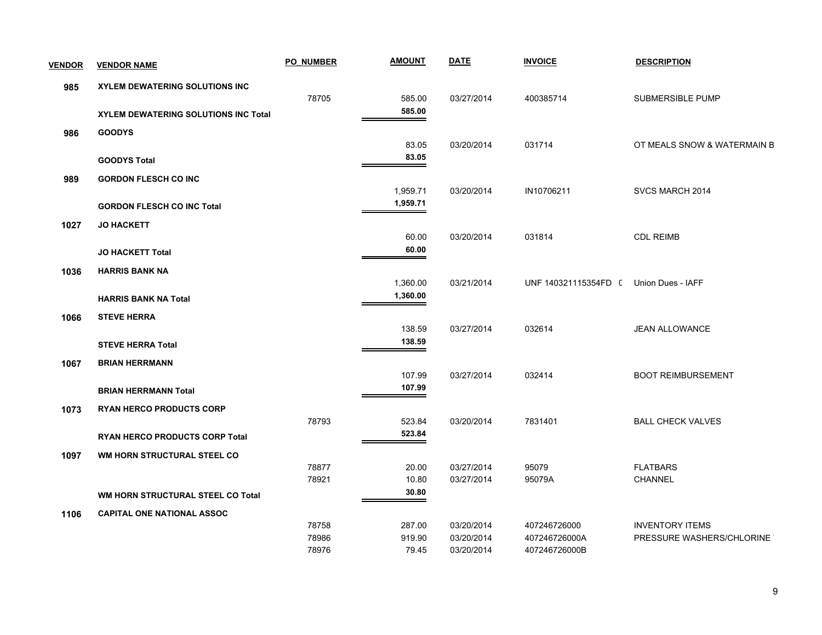| <b>VENDOR</b> | <b>VENDOR NAME</b>                    | <b>PO NUMBER</b> | <b>AMOUNT</b> | <b>DATE</b> | <b>INVOICE</b>       | <b>DESCRIPTION</b>          |
|---------------|---------------------------------------|------------------|---------------|-------------|----------------------|-----------------------------|
| 985           | <b>XYLEM DEWATERING SOLUTIONS INC</b> |                  |               |             |                      |                             |
|               |                                       | 78705            | 585.00        | 03/27/2014  | 400385714            | <b>SUBMERSIBLE PUMP</b>     |
|               | XYLEM DEWATERING SOLUTIONS INC Total  |                  | 585.00        |             |                      |                             |
| 986           | <b>GOODYS</b>                         |                  |               |             |                      |                             |
|               |                                       |                  | 83.05         | 03/20/2014  | 031714               | OT MEALS SNOW & WATERMAIN B |
|               | <b>GOODYS Total</b>                   |                  | 83.05         |             |                      |                             |
| 989           | <b>GORDON FLESCH CO INC</b>           |                  |               |             |                      |                             |
|               |                                       |                  | 1,959.71      | 03/20/2014  | IN10706211           | SVCS MARCH 2014             |
|               | <b>GORDON FLESCH CO INC Total</b>     |                  | 1,959.71      |             |                      |                             |
| 1027          | <b>JO HACKETT</b>                     |                  |               |             |                      |                             |
|               |                                       |                  | 60.00         | 03/20/2014  | 031814               | <b>CDL REIMB</b>            |
|               | <b>JO HACKETT Total</b>               |                  | 60.00         |             |                      |                             |
| 1036          | <b>HARRIS BANK NA</b>                 |                  |               |             |                      |                             |
|               |                                       |                  | 1,360.00      | 03/21/2014  | UNF 140321115354FD ( | Union Dues - IAFF           |
|               | <b>HARRIS BANK NA Total</b>           |                  | 1,360.00      |             |                      |                             |
| 1066          | <b>STEVE HERRA</b>                    |                  |               |             |                      |                             |
|               |                                       |                  | 138.59        | 03/27/2014  | 032614               | <b>JEAN ALLOWANCE</b>       |
|               | <b>STEVE HERRA Total</b>              |                  | 138.59        |             |                      |                             |
| 1067          | <b>BRIAN HERRMANN</b>                 |                  |               |             |                      |                             |
|               |                                       |                  | 107.99        | 03/27/2014  | 032414               | <b>BOOT REIMBURSEMENT</b>   |
|               | <b>BRIAN HERRMANN Total</b>           |                  | 107.99        |             |                      |                             |
| 1073          | <b>RYAN HERCO PRODUCTS CORP</b>       |                  |               |             |                      |                             |
|               |                                       | 78793            | 523.84        | 03/20/2014  | 7831401              | <b>BALL CHECK VALVES</b>    |
|               | RYAN HERCO PRODUCTS CORP Total        |                  | 523.84        |             |                      |                             |
| 1097          | WM HORN STRUCTURAL STEEL CO           |                  |               |             |                      |                             |
|               |                                       | 78877            | 20.00         | 03/27/2014  | 95079                | <b>FLATBARS</b>             |
|               |                                       | 78921            | 10.80         | 03/27/2014  | 95079A               | CHANNEL                     |
|               | WM HORN STRUCTURAL STEEL CO Total     |                  | 30.80         |             |                      |                             |
| 1106          | <b>CAPITAL ONE NATIONAL ASSOC</b>     |                  |               |             |                      |                             |
|               |                                       | 78758            | 287.00        | 03/20/2014  | 407246726000         | <b>INVENTORY ITEMS</b>      |
|               |                                       | 78986            | 919.90        | 03/20/2014  | 407246726000A        | PRESSURE WASHERS/CHLORINE   |
|               |                                       | 78976            | 79.45         | 03/20/2014  | 407246726000B        |                             |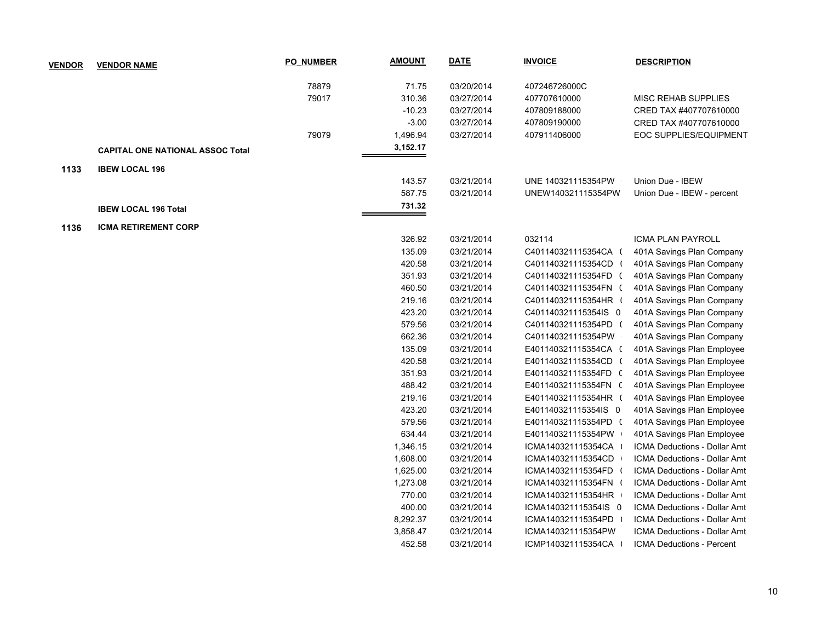| <b>VENDOR</b> | <b>VENDOR NAME</b>                      | <b>PO_NUMBER</b> | <b>AMOUNT</b> | <b>DATE</b> | <b>INVOICE</b>       | <b>DESCRIPTION</b>                  |
|---------------|-----------------------------------------|------------------|---------------|-------------|----------------------|-------------------------------------|
|               |                                         | 78879            | 71.75         | 03/20/2014  | 407246726000C        |                                     |
|               |                                         | 79017            | 310.36        | 03/27/2014  | 407707610000         | <b>MISC REHAB SUPPLIES</b>          |
|               |                                         |                  | $-10.23$      | 03/27/2014  | 407809188000         | CRED TAX #407707610000              |
|               |                                         |                  | $-3.00$       | 03/27/2014  | 407809190000         | CRED TAX #407707610000              |
|               |                                         | 79079            | 1,496.94      | 03/27/2014  | 407911406000         | <b>EOC SUPPLIES/EQUIPMENT</b>       |
|               | <b>CAPITAL ONE NATIONAL ASSOC Total</b> |                  | 3,152.17      |             |                      |                                     |
|               |                                         |                  |               |             |                      |                                     |
| 1133          | <b>IBEW LOCAL 196</b>                   |                  |               |             |                      |                                     |
|               |                                         |                  | 143.57        | 03/21/2014  | UNE 140321115354PW   | Union Due - IBEW                    |
|               |                                         |                  | 587.75        | 03/21/2014  | UNEW140321115354PW   | Union Due - IBEW - percent          |
|               | <b>IBEW LOCAL 196 Total</b>             |                  | 731.32        |             |                      |                                     |
| 1136          | ICMA RETIREMENT CORP                    |                  |               |             |                      |                                     |
|               |                                         |                  | 326.92        | 03/21/2014  | 032114               | <b>ICMA PLAN PAYROLL</b>            |
|               |                                         |                  | 135.09        | 03/21/2014  | C401140321115354CA ( | 401A Savings Plan Company           |
|               |                                         |                  | 420.58        | 03/21/2014  | C401140321115354CD ( | 401A Savings Plan Company           |
|               |                                         |                  | 351.93        | 03/21/2014  | C401140321115354FD ( | 401A Savings Plan Company           |
|               |                                         |                  | 460.50        | 03/21/2014  | C401140321115354FN ( | 401A Savings Plan Company           |
|               |                                         |                  | 219.16        | 03/21/2014  | C401140321115354HR ( | 401A Savings Plan Company           |
|               |                                         |                  | 423.20        | 03/21/2014  | C401140321115354IS 0 | 401A Savings Plan Company           |
|               |                                         |                  | 579.56        | 03/21/2014  | C401140321115354PD ( | 401A Savings Plan Company           |
|               |                                         |                  | 662.36        | 03/21/2014  | C401140321115354PW   | 401A Savings Plan Company           |
|               |                                         |                  | 135.09        | 03/21/2014  | E401140321115354CA ( | 401A Savings Plan Employee          |
|               |                                         |                  | 420.58        | 03/21/2014  | E401140321115354CD ( | 401A Savings Plan Employee          |
|               |                                         |                  | 351.93        | 03/21/2014  | E401140321115354FD ( | 401A Savings Plan Employee          |
|               |                                         |                  | 488.42        | 03/21/2014  | E401140321115354FN ( | 401A Savings Plan Employee          |
|               |                                         |                  | 219.16        | 03/21/2014  | E401140321115354HR ( | 401A Savings Plan Employee          |
|               |                                         |                  | 423.20        | 03/21/2014  | E401140321115354IS 0 | 401A Savings Plan Employee          |
|               |                                         |                  | 579.56        | 03/21/2014  | E401140321115354PD ( | 401A Savings Plan Employee          |
|               |                                         |                  | 634.44        | 03/21/2014  | E401140321115354PW   | 401A Savings Plan Employee          |
|               |                                         |                  | 1,346.15      | 03/21/2014  | ICMA140321115354CA   | ICMA Deductions - Dollar Amt        |
|               |                                         |                  | 1,608.00      | 03/21/2014  | ICMA140321115354CD   | ICMA Deductions - Dollar Amt        |
|               |                                         |                  | 1,625.00      | 03/21/2014  | ICMA140321115354FD ( | ICMA Deductions - Dollar Amt        |
|               |                                         |                  | 1,273.08      | 03/21/2014  | ICMA140321115354FN ( | ICMA Deductions - Dollar Amt        |
|               |                                         |                  | 770.00        | 03/21/2014  | ICMA140321115354HR   | <b>ICMA Deductions - Dollar Amt</b> |
|               |                                         |                  | 400.00        | 03/21/2014  | ICMA140321115354IS 0 | ICMA Deductions - Dollar Amt        |
|               |                                         |                  | 8,292.37      | 03/21/2014  | ICMA140321115354PD   | <b>ICMA Deductions - Dollar Amt</b> |
|               |                                         |                  | 3,858.47      | 03/21/2014  | ICMA140321115354PW   | ICMA Deductions - Dollar Amt        |
|               |                                         |                  | 452.58        | 03/21/2014  | ICMP140321115354CA   | <b>ICMA Deductions - Percent</b>    |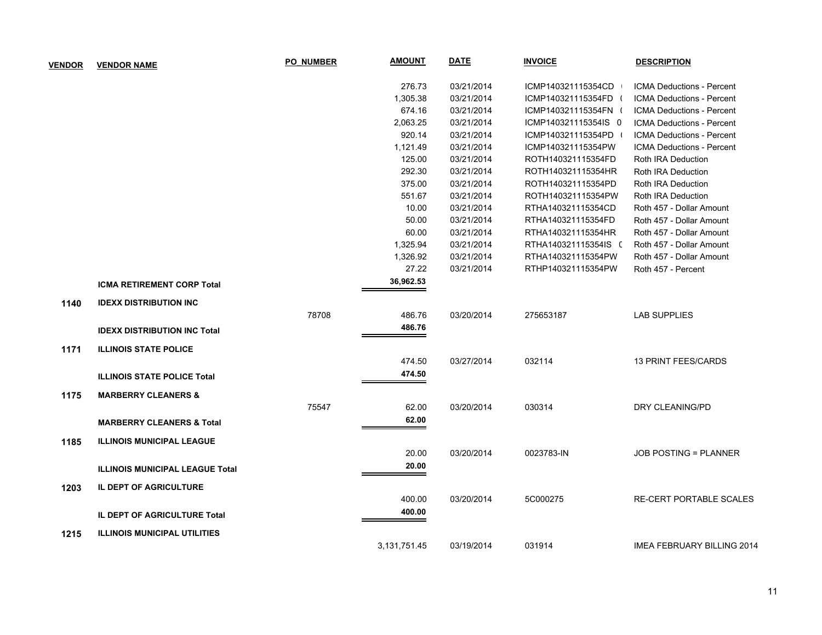| <b>VENDOR</b> | <b>VENDOR NAME</b>                     | <b>PO NUMBER</b> | <u>AMOUNT</u>      | <b>DATE</b> | <b>INVOICE</b>       | <b>DESCRIPTION</b>               |
|---------------|----------------------------------------|------------------|--------------------|-------------|----------------------|----------------------------------|
|               |                                        |                  | 276.73             | 03/21/2014  | ICMP140321115354CD   | <b>ICMA Deductions - Percent</b> |
|               |                                        |                  | 1,305.38           | 03/21/2014  | ICMP140321115354FD ( | ICMA Deductions - Percent        |
|               |                                        |                  | 674.16             | 03/21/2014  | ICMP140321115354FN ( | ICMA Deductions - Percent        |
|               |                                        |                  | 2,063.25           | 03/21/2014  | ICMP140321115354IS 0 | ICMA Deductions - Percent        |
|               |                                        |                  | 920.14             | 03/21/2014  | ICMP140321115354PD   | <b>ICMA Deductions - Percent</b> |
|               |                                        |                  | 1,121.49           | 03/21/2014  | ICMP140321115354PW   | ICMA Deductions - Percent        |
|               |                                        |                  | 125.00             | 03/21/2014  | ROTH140321115354FD   | Roth IRA Deduction               |
|               |                                        |                  | 292.30             | 03/21/2014  | ROTH140321115354HR   | Roth IRA Deduction               |
|               |                                        |                  | 375.00             | 03/21/2014  | ROTH140321115354PD   | Roth IRA Deduction               |
|               |                                        |                  | 551.67             | 03/21/2014  | ROTH140321115354PW   | Roth IRA Deduction               |
|               |                                        |                  | 10.00              | 03/21/2014  | RTHA140321115354CD   | Roth 457 - Dollar Amount         |
|               |                                        |                  | 50.00              | 03/21/2014  | RTHA140321115354FD   | Roth 457 - Dollar Amount         |
|               |                                        |                  | 60.00              | 03/21/2014  | RTHA140321115354HR   | Roth 457 - Dollar Amount         |
|               |                                        |                  | 1,325.94           | 03/21/2014  | RTHA140321115354IS ( | Roth 457 - Dollar Amount         |
|               |                                        |                  | 1,326.92           | 03/21/2014  | RTHA140321115354PW   | Roth 457 - Dollar Amount         |
|               | <b>ICMA RETIREMENT CORP Total</b>      |                  | 27.22<br>36,962.53 | 03/21/2014  | RTHP140321115354PW   | Roth 457 - Percent               |
|               |                                        |                  |                    |             |                      |                                  |
| 1140          | <b>IDEXX DISTRIBUTION INC</b>          |                  |                    |             |                      |                                  |
|               |                                        | 78708            | 486.76             | 03/20/2014  | 275653187            | <b>LAB SUPPLIES</b>              |
|               | <b>IDEXX DISTRIBUTION INC Total</b>    |                  | 486.76             |             |                      |                                  |
| 1171          | <b>ILLINOIS STATE POLICE</b>           |                  |                    |             |                      |                                  |
|               |                                        |                  | 474.50             | 03/27/2014  | 032114               | <b>13 PRINT FEES/CARDS</b>       |
|               | <b>ILLINOIS STATE POLICE Total</b>     |                  | 474.50             |             |                      |                                  |
| 1175          | <b>MARBERRY CLEANERS &amp;</b>         |                  |                    |             |                      |                                  |
|               |                                        | 75547            | 62.00              | 03/20/2014  | 030314               | DRY CLEANING/PD                  |
|               | <b>MARBERRY CLEANERS &amp; Total</b>   |                  | 62.00              |             |                      |                                  |
| 1185          | <b>ILLINOIS MUNICIPAL LEAGUE</b>       |                  |                    |             |                      |                                  |
|               |                                        |                  | 20.00              | 03/20/2014  | 0023783-IN           | <b>JOB POSTING = PLANNER</b>     |
|               |                                        |                  | 20.00              |             |                      |                                  |
|               | <b>ILLINOIS MUNICIPAL LEAGUE Total</b> |                  |                    |             |                      |                                  |
| 1203          | IL DEPT OF AGRICULTURE                 |                  |                    |             |                      |                                  |
|               |                                        |                  | 400.00             | 03/20/2014  | 5C000275             | <b>RE-CERT PORTABLE SCALES</b>   |
|               | IL DEPT OF AGRICULTURE Total           |                  | 400.00             |             |                      |                                  |
| 1215          | <b>ILLINOIS MUNICIPAL UTILITIES</b>    |                  |                    |             |                      |                                  |
|               |                                        |                  | 3,131,751.45       | 03/19/2014  | 031914               | IMEA FEBRUARY BILLING 2014       |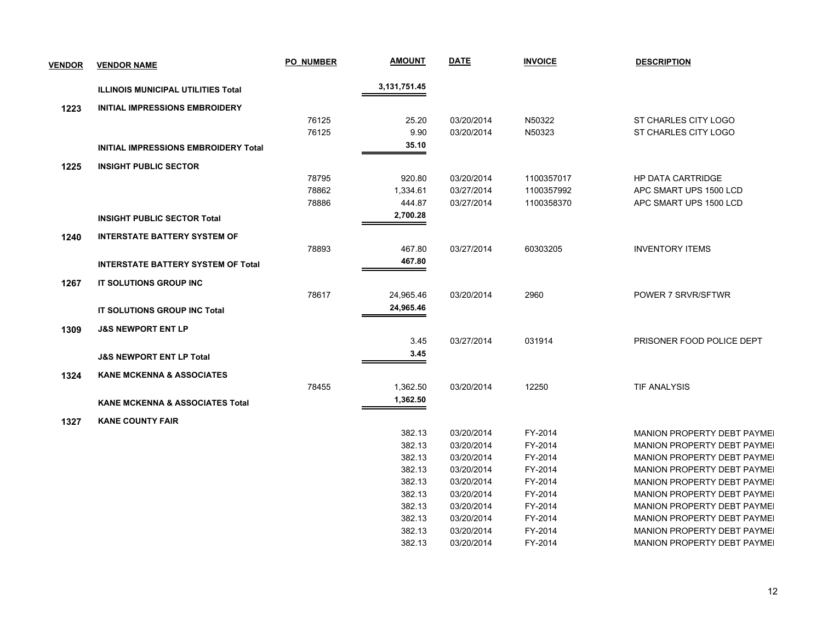| <b>VENDOR</b> | <b>VENDOR NAME</b>                          | PO NUMBER | <b>AMOUNT</b>   | <b>DATE</b> | <b>INVOICE</b> | <b>DESCRIPTION</b>                 |
|---------------|---------------------------------------------|-----------|-----------------|-------------|----------------|------------------------------------|
|               | <b>ILLINOIS MUNICIPAL UTILITIES Total</b>   |           | 3, 131, 751. 45 |             |                |                                    |
| 1223          | <b>INITIAL IMPRESSIONS EMBROIDERY</b>       |           |                 |             |                |                                    |
|               |                                             | 76125     | 25.20           | 03/20/2014  | N50322         | ST CHARLES CITY LOGO               |
|               |                                             | 76125     | 9.90            | 03/20/2014  | N50323         | ST CHARLES CITY LOGO               |
|               | <b>INITIAL IMPRESSIONS EMBROIDERY Total</b> |           | 35.10           |             |                |                                    |
| 1225          | <b>INSIGHT PUBLIC SECTOR</b>                |           |                 |             |                |                                    |
|               |                                             | 78795     | 920.80          | 03/20/2014  | 1100357017     | <b>HP DATA CARTRIDGE</b>           |
|               |                                             | 78862     | 1,334.61        | 03/27/2014  | 1100357992     | APC SMART UPS 1500 LCD             |
|               |                                             | 78886     | 444.87          | 03/27/2014  | 1100358370     | APC SMART UPS 1500 LCD             |
|               | <b>INSIGHT PUBLIC SECTOR Total</b>          |           | 2,700.28        |             |                |                                    |
| 1240          | <b>INTERSTATE BATTERY SYSTEM OF</b>         |           |                 |             |                |                                    |
|               |                                             | 78893     | 467.80          | 03/27/2014  | 60303205       | <b>INVENTORY ITEMS</b>             |
|               | <b>INTERSTATE BATTERY SYSTEM OF Total</b>   |           | 467.80          |             |                |                                    |
| 1267          | IT SOLUTIONS GROUP INC                      |           |                 |             |                |                                    |
|               |                                             | 78617     | 24,965.46       | 03/20/2014  | 2960           | POWER 7 SRVR/SFTWR                 |
|               | <b>IT SOLUTIONS GROUP INC Total</b>         |           | 24,965.46       |             |                |                                    |
| 1309          | <b>J&amp;S NEWPORT ENT LP</b>               |           |                 |             |                |                                    |
|               |                                             |           | 3.45            | 03/27/2014  | 031914         | PRISONER FOOD POLICE DEPT          |
|               | <b>J&amp;S NEWPORT ENT LP Total</b>         |           | 3.45            |             |                |                                    |
| 1324          | <b>KANE MCKENNA &amp; ASSOCIATES</b>        |           |                 |             |                |                                    |
|               |                                             | 78455     | 1,362.50        | 03/20/2014  | 12250          | <b>TIF ANALYSIS</b>                |
|               | <b>KANE MCKENNA &amp; ASSOCIATES Total</b>  |           | 1,362.50        |             |                |                                    |
| 1327          | <b>KANE COUNTY FAIR</b>                     |           |                 |             |                |                                    |
|               |                                             |           | 382.13          | 03/20/2014  | FY-2014        | <b>MANION PROPERTY DEBT PAYMEI</b> |
|               |                                             |           | 382.13          | 03/20/2014  | FY-2014        | <b>MANION PROPERTY DEBT PAYMEL</b> |
|               |                                             |           | 382.13          | 03/20/2014  | FY-2014        | <b>MANION PROPERTY DEBT PAYMEI</b> |
|               |                                             |           | 382.13          | 03/20/2014  | FY-2014        | <b>MANION PROPERTY DEBT PAYMEI</b> |
|               |                                             |           | 382.13          | 03/20/2014  | FY-2014        | MANION PROPERTY DEBT PAYMEI        |
|               |                                             |           | 382.13          | 03/20/2014  | FY-2014        | <b>MANION PROPERTY DEBT PAYMEI</b> |
|               |                                             |           | 382.13          | 03/20/2014  | FY-2014        | <b>MANION PROPERTY DEBT PAYMEI</b> |
|               |                                             |           | 382.13          | 03/20/2014  | FY-2014        | MANION PROPERTY DEBT PAYMEI        |
|               |                                             |           | 382.13          | 03/20/2014  | FY-2014        | <b>MANION PROPERTY DEBT PAYMEL</b> |
|               |                                             |           | 382.13          | 03/20/2014  | FY-2014        | <b>MANION PROPERTY DEBT PAYMEI</b> |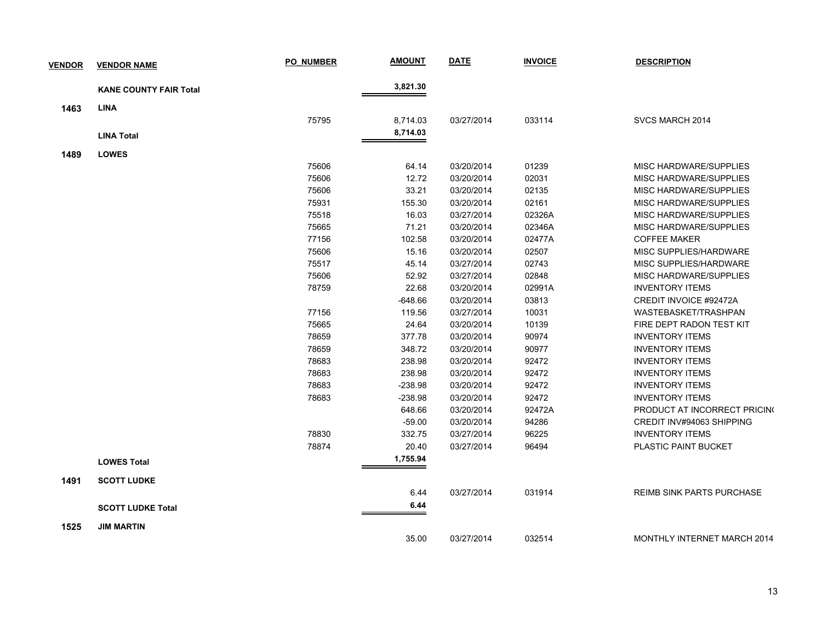| <b>VENDOR</b> | <b>VENDOR NAME</b>            | <b>PO NUMBER</b> | <b>AMOUNT</b> | <b>DATE</b> | <b>INVOICE</b> | <b>DESCRIPTION</b>               |
|---------------|-------------------------------|------------------|---------------|-------------|----------------|----------------------------------|
|               | <b>KANE COUNTY FAIR Total</b> |                  | 3,821.30      |             |                |                                  |
| 1463          | <b>LINA</b>                   |                  |               |             |                |                                  |
|               |                               | 75795            | 8,714.03      | 03/27/2014  | 033114         | SVCS MARCH 2014                  |
|               | <b>LINA Total</b>             |                  | 8,714.03      |             |                |                                  |
|               |                               |                  |               |             |                |                                  |
| 1489          | <b>LOWES</b>                  |                  |               |             |                |                                  |
|               |                               | 75606            | 64.14         | 03/20/2014  | 01239          | MISC HARDWARE/SUPPLIES           |
|               |                               | 75606            | 12.72         | 03/20/2014  | 02031          | MISC HARDWARE/SUPPLIES           |
|               |                               | 75606            | 33.21         | 03/20/2014  | 02135          | MISC HARDWARE/SUPPLIES           |
|               |                               | 75931            | 155.30        | 03/20/2014  | 02161          | MISC HARDWARE/SUPPLIES           |
|               |                               | 75518            | 16.03         | 03/27/2014  | 02326A         | MISC HARDWARE/SUPPLIES           |
|               |                               | 75665            | 71.21         | 03/20/2014  | 02346A         | MISC HARDWARE/SUPPLIES           |
|               |                               | 77156            | 102.58        | 03/20/2014  | 02477A         | <b>COFFEE MAKER</b>              |
|               |                               | 75606            | 15.16         | 03/20/2014  | 02507          | MISC SUPPLIES/HARDWARE           |
|               |                               | 75517            | 45.14         | 03/27/2014  | 02743          | MISC SUPPLIES/HARDWARE           |
|               |                               | 75606            | 52.92         | 03/27/2014  | 02848          | MISC HARDWARE/SUPPLIES           |
|               |                               | 78759            | 22.68         | 03/20/2014  | 02991A         | <b>INVENTORY ITEMS</b>           |
|               |                               |                  | -648.66       | 03/20/2014  | 03813          | CREDIT INVOICE #92472A           |
|               |                               | 77156            | 119.56        | 03/27/2014  | 10031          | WASTEBASKET/TRASHPAN             |
|               |                               | 75665            | 24.64         | 03/20/2014  | 10139          | FIRE DEPT RADON TEST KIT         |
|               |                               | 78659            | 377.78        | 03/20/2014  | 90974          | <b>INVENTORY ITEMS</b>           |
|               |                               | 78659            | 348.72        | 03/20/2014  | 90977          | <b>INVENTORY ITEMS</b>           |
|               |                               | 78683            | 238.98        | 03/20/2014  | 92472          | <b>INVENTORY ITEMS</b>           |
|               |                               | 78683            | 238.98        | 03/20/2014  | 92472          | <b>INVENTORY ITEMS</b>           |
|               |                               | 78683            | $-238.98$     | 03/20/2014  | 92472          | <b>INVENTORY ITEMS</b>           |
|               |                               | 78683            | $-238.98$     | 03/20/2014  | 92472          | <b>INVENTORY ITEMS</b>           |
|               |                               |                  | 648.66        | 03/20/2014  | 92472A         | PRODUCT AT INCORRECT PRICING     |
|               |                               |                  | $-59.00$      | 03/20/2014  | 94286          | CREDIT INV#94063 SHIPPING        |
|               |                               | 78830            | 332.75        | 03/27/2014  | 96225          | <b>INVENTORY ITEMS</b>           |
|               |                               | 78874            | 20.40         | 03/27/2014  | 96494          | PLASTIC PAINT BUCKET             |
|               | <b>LOWES Total</b>            |                  | 1,755.94      |             |                |                                  |
|               |                               |                  |               |             |                |                                  |
| 1491          | <b>SCOTT LUDKE</b>            |                  |               |             |                |                                  |
|               |                               |                  | 6.44          | 03/27/2014  | 031914         | <b>REIMB SINK PARTS PURCHASE</b> |
|               | <b>SCOTT LUDKE Total</b>      |                  | 6.44          |             |                |                                  |
| 1525          | <b>JIM MARTIN</b>             |                  |               |             |                |                                  |
|               |                               |                  | 35.00         | 03/27/2014  | 032514         | MONTHLY INTERNET MARCH 2014      |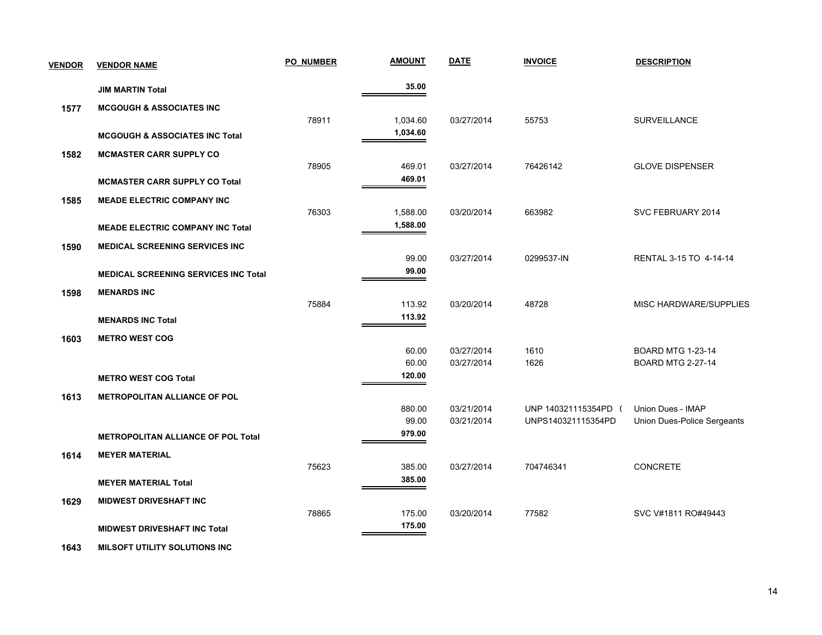| <b>VENDOR</b> | <b>VENDOR NAME</b>                          | <b>PO NUMBER</b> | <b>AMOUNT</b>   | <b>DATE</b>              | <b>INVOICE</b>                           | <b>DESCRIPTION</b>                                      |
|---------------|---------------------------------------------|------------------|-----------------|--------------------------|------------------------------------------|---------------------------------------------------------|
|               | <b>JIM MARTIN Total</b>                     |                  | 35.00           |                          |                                          |                                                         |
| 1577          | <b>MCGOUGH &amp; ASSOCIATES INC</b>         |                  |                 |                          |                                          |                                                         |
|               |                                             | 78911            | 1,034.60        | 03/27/2014               | 55753                                    | SURVEILLANCE                                            |
|               | <b>MCGOUGH &amp; ASSOCIATES INC Total</b>   |                  | 1,034.60        |                          |                                          |                                                         |
| 1582          | <b>MCMASTER CARR SUPPLY CO</b>              |                  |                 |                          |                                          |                                                         |
|               |                                             | 78905            | 469.01          | 03/27/2014               | 76426142                                 | <b>GLOVE DISPENSER</b>                                  |
|               | <b>MCMASTER CARR SUPPLY CO Total</b>        |                  | 469.01          |                          |                                          |                                                         |
| 1585          | <b>MEADE ELECTRIC COMPANY INC</b>           |                  |                 |                          |                                          |                                                         |
|               |                                             | 76303            | 1,588.00        | 03/20/2014               | 663982                                   | SVC FEBRUARY 2014                                       |
|               | <b>MEADE ELECTRIC COMPANY INC Total</b>     |                  | 1,588.00        |                          |                                          |                                                         |
| 1590          | <b>MEDICAL SCREENING SERVICES INC</b>       |                  |                 |                          |                                          |                                                         |
|               |                                             |                  | 99.00           | 03/27/2014               | 0299537-IN                               | RENTAL 3-15 TO 4-14-14                                  |
|               | <b>MEDICAL SCREENING SERVICES INC Total</b> |                  | 99.00           |                          |                                          |                                                         |
| 1598          | <b>MENARDS INC</b>                          |                  |                 |                          |                                          |                                                         |
|               |                                             | 75884            | 113.92          | 03/20/2014               | 48728                                    | MISC HARDWARE/SUPPLIES                                  |
|               | <b>MENARDS INC Total</b>                    |                  | 113.92          |                          |                                          |                                                         |
| 1603          | <b>METRO WEST COG</b>                       |                  |                 |                          |                                          |                                                         |
|               |                                             |                  | 60.00           | 03/27/2014               | 1610                                     | <b>BOARD MTG 1-23-14</b>                                |
|               |                                             |                  | 60.00<br>120.00 | 03/27/2014               | 1626                                     | <b>BOARD MTG 2-27-14</b>                                |
|               | <b>METRO WEST COG Total</b>                 |                  |                 |                          |                                          |                                                         |
| 1613          | <b>METROPOLITAN ALLIANCE OF POL</b>         |                  |                 |                          |                                          |                                                         |
|               |                                             |                  | 880.00<br>99.00 | 03/21/2014<br>03/21/2014 | UNP 140321115354PD<br>UNPS140321115354PD | Union Dues - IMAP<br><b>Union Dues-Police Sergeants</b> |
|               | <b>METROPOLITAN ALLIANCE OF POL Total</b>   |                  | 979.00          |                          |                                          |                                                         |
|               |                                             |                  |                 |                          |                                          |                                                         |
| 1614          | <b>MEYER MATERIAL</b>                       | 75623            | 385.00          | 03/27/2014               | 704746341                                | CONCRETE                                                |
|               | <b>MEYER MATERIAL Total</b>                 |                  | 385.00          |                          |                                          |                                                         |
|               |                                             |                  |                 |                          |                                          |                                                         |
| 1629          | <b>MIDWEST DRIVESHAFT INC</b>               | 78865            | 175.00          | 03/20/2014               | 77582                                    | SVC V#1811 RO#49443                                     |
|               | <b>MIDWEST DRIVESHAFT INC Total</b>         |                  | 175.00          |                          |                                          |                                                         |
|               |                                             |                  |                 |                          |                                          |                                                         |

 **1643 MILSOFT UTILITY SOLUTIONS INC**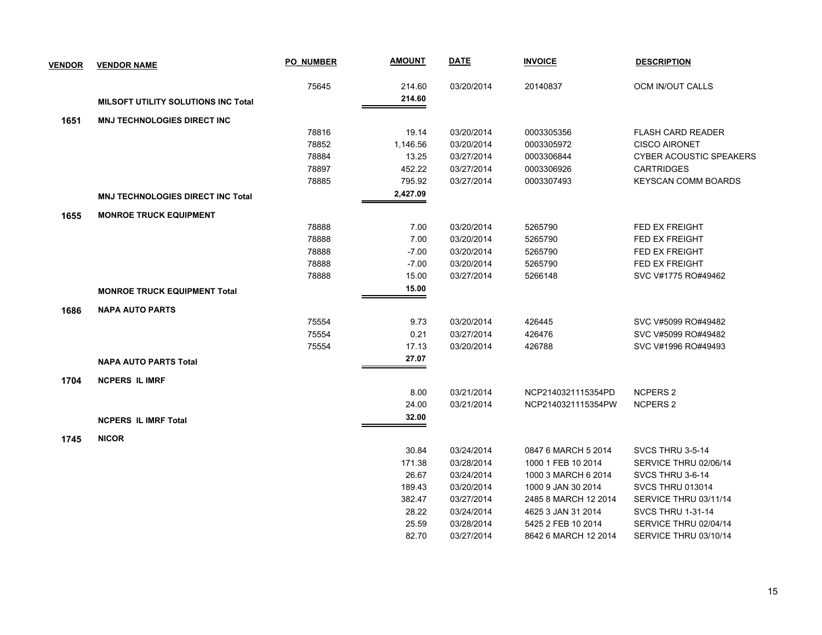| <b>VENDOR</b> | <b>VENDOR NAME</b>                       | <b>PO NUMBER</b> | <b>AMOUNT</b> | <b>DATE</b> | <b>INVOICE</b>       | <b>DESCRIPTION</b>             |
|---------------|------------------------------------------|------------------|---------------|-------------|----------------------|--------------------------------|
|               |                                          | 75645            | 214.60        | 03/20/2014  | 20140837             | OCM IN/OUT CALLS               |
|               | MILSOFT UTILITY SOLUTIONS INC Total      |                  | 214.60        |             |                      |                                |
| 1651          | <b>MNJ TECHNOLOGIES DIRECT INC</b>       |                  |               |             |                      |                                |
|               |                                          | 78816            | 19.14         | 03/20/2014  | 0003305356           | <b>FLASH CARD READER</b>       |
|               |                                          | 78852            | 1,146.56      | 03/20/2014  | 0003305972           | <b>CISCO AIRONET</b>           |
|               |                                          | 78884            | 13.25         | 03/27/2014  | 0003306844           | <b>CYBER ACOUSTIC SPEAKERS</b> |
|               |                                          | 78897            | 452.22        | 03/27/2014  | 0003306926           | <b>CARTRIDGES</b>              |
|               |                                          | 78885            | 795.92        | 03/27/2014  | 0003307493           | <b>KEYSCAN COMM BOARDS</b>     |
|               | <b>MNJ TECHNOLOGIES DIRECT INC Total</b> |                  | 2,427.09      |             |                      |                                |
| 1655          | <b>MONROE TRUCK EQUIPMENT</b>            |                  |               |             |                      |                                |
|               |                                          | 78888            | 7.00          | 03/20/2014  | 5265790              | <b>FED EX FREIGHT</b>          |
|               |                                          | 78888            | 7.00          | 03/20/2014  | 5265790              | <b>FED EX FREIGHT</b>          |
|               |                                          | 78888            | $-7.00$       | 03/20/2014  | 5265790              | FED EX FREIGHT                 |
|               |                                          | 78888            | $-7.00$       | 03/20/2014  | 5265790              | <b>FED EX FREIGHT</b>          |
|               |                                          | 78888            | 15.00         | 03/27/2014  | 5266148              | SVC V#1775 RO#49462            |
|               | <b>MONROE TRUCK EQUIPMENT Total</b>      |                  | 15.00         |             |                      |                                |
| 1686          | <b>NAPA AUTO PARTS</b>                   |                  |               |             |                      |                                |
|               |                                          | 75554            | 9.73          | 03/20/2014  | 426445               | SVC V#5099 RO#49482            |
|               |                                          | 75554            | 0.21          | 03/27/2014  | 426476               | SVC V#5099 RO#49482            |
|               |                                          | 75554            | 17.13         | 03/20/2014  | 426788               | SVC V#1996 RO#49493            |
|               | <b>NAPA AUTO PARTS Total</b>             |                  | 27.07         |             |                      |                                |
| 1704          | <b>NCPERS IL IMRF</b>                    |                  |               |             |                      |                                |
|               |                                          |                  | 8.00          | 03/21/2014  | NCP2140321115354PD   | NCPERS 2                       |
|               |                                          |                  | 24.00         | 03/21/2014  | NCP2140321115354PW   | <b>NCPERS 2</b>                |
|               | <b>NCPERS IL IMRF Total</b>              |                  | 32.00         |             |                      |                                |
| 1745          | <b>NICOR</b>                             |                  |               |             |                      |                                |
|               |                                          |                  | 30.84         | 03/24/2014  | 0847 6 MARCH 5 2014  | SVCS THRU 3-5-14               |
|               |                                          |                  | 171.38        | 03/28/2014  | 1000 1 FEB 10 2014   | SERVICE THRU 02/06/14          |
|               |                                          |                  | 26.67         | 03/24/2014  | 1000 3 MARCH 6 2014  | SVCS THRU 3-6-14               |
|               |                                          |                  | 189.43        | 03/20/2014  | 1000 9 JAN 30 2014   | <b>SVCS THRU 013014</b>        |
|               |                                          |                  | 382.47        | 03/27/2014  | 2485 8 MARCH 12 2014 | SERVICE THRU 03/11/14          |
|               |                                          |                  | 28.22         | 03/24/2014  | 4625 3 JAN 31 2014   | <b>SVCS THRU 1-31-14</b>       |
|               |                                          |                  | 25.59         | 03/28/2014  | 5425 2 FEB 10 2014   | SERVICE THRU 02/04/14          |
|               |                                          |                  | 82.70         | 03/27/2014  | 8642 6 MARCH 12 2014 | SERVICE THRU 03/10/14          |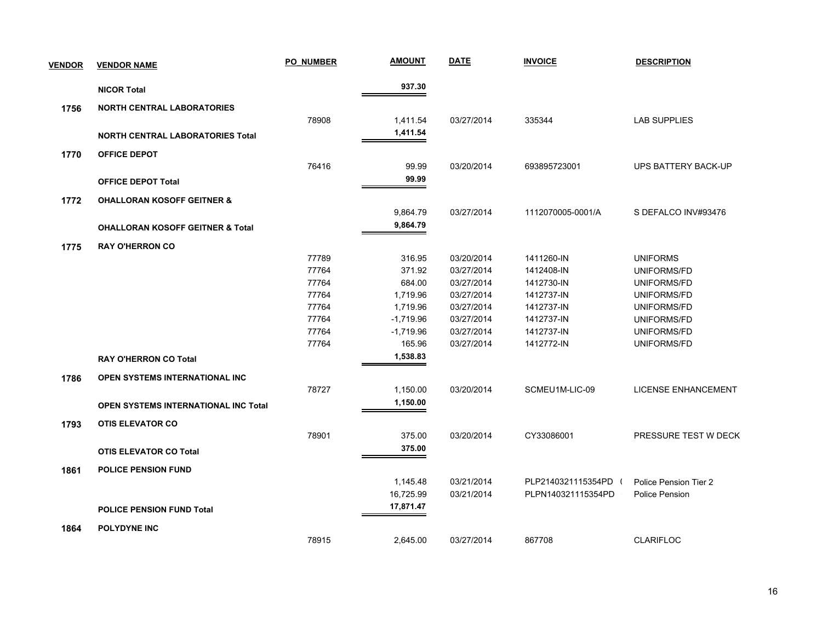| <b>VENDOR</b> | <b>VENDOR NAME</b>                          | PO NUMBER | <b>AMOUNT</b> | <b>DATE</b> | <b>INVOICE</b>       | <b>DESCRIPTION</b>         |
|---------------|---------------------------------------------|-----------|---------------|-------------|----------------------|----------------------------|
|               | <b>NICOR Total</b>                          |           | 937.30        |             |                      |                            |
| 1756          | <b>NORTH CENTRAL LABORATORIES</b>           |           |               |             |                      |                            |
|               |                                             | 78908     | 1,411.54      | 03/27/2014  | 335344               | <b>LAB SUPPLIES</b>        |
|               | <b>NORTH CENTRAL LABORATORIES Total</b>     |           | 1,411.54      |             |                      |                            |
|               |                                             |           |               |             |                      |                            |
| 1770          | <b>OFFICE DEPOT</b>                         | 76416     | 99.99         | 03/20/2014  | 693895723001         |                            |
|               |                                             |           | 99.99         |             |                      | UPS BATTERY BACK-UP        |
|               | <b>OFFICE DEPOT Total</b>                   |           |               |             |                      |                            |
| 1772          | <b>OHALLORAN KOSOFF GEITNER &amp;</b>       |           |               |             |                      |                            |
|               |                                             |           | 9,864.79      | 03/27/2014  | 1112070005-0001/A    | S DEFALCO INV#93476        |
|               | <b>OHALLORAN KOSOFF GEITNER &amp; Total</b> |           | 9,864.79      |             |                      |                            |
| 1775          | <b>RAY O'HERRON CO</b>                      |           |               |             |                      |                            |
|               |                                             | 77789     | 316.95        | 03/20/2014  | 1411260-IN           | <b>UNIFORMS</b>            |
|               |                                             | 77764     | 371.92        | 03/27/2014  | 1412408-IN           | UNIFORMS/FD                |
|               |                                             | 77764     | 684.00        | 03/27/2014  | 1412730-IN           | UNIFORMS/FD                |
|               |                                             | 77764     | 1,719.96      | 03/27/2014  | 1412737-IN           | UNIFORMS/FD                |
|               |                                             | 77764     | 1,719.96      | 03/27/2014  | 1412737-IN           | UNIFORMS/FD                |
|               |                                             | 77764     | $-1,719.96$   | 03/27/2014  | 1412737-IN           | UNIFORMS/FD                |
|               |                                             | 77764     | $-1,719.96$   | 03/27/2014  | 1412737-IN           | UNIFORMS/FD                |
|               |                                             | 77764     | 165.96        | 03/27/2014  | 1412772-IN           | UNIFORMS/FD                |
|               | <b>RAY O'HERRON CO Total</b>                |           | 1,538.83      |             |                      |                            |
| 1786          | OPEN SYSTEMS INTERNATIONAL INC              |           |               |             |                      |                            |
|               |                                             | 78727     | 1,150.00      | 03/20/2014  | SCMEU1M-LIC-09       | <b>LICENSE ENHANCEMENT</b> |
|               | <b>OPEN SYSTEMS INTERNATIONAL INC Total</b> |           | 1,150.00      |             |                      |                            |
|               |                                             |           |               |             |                      |                            |
| 1793          | <b>OTIS ELEVATOR CO</b>                     |           |               |             |                      |                            |
|               |                                             | 78901     | 375.00        | 03/20/2014  | CY33086001           | PRESSURE TEST W DECK       |
|               | <b>OTIS ELEVATOR CO Total</b>               |           | 375.00        |             |                      |                            |
| 1861          | <b>POLICE PENSION FUND</b>                  |           |               |             |                      |                            |
|               |                                             |           | 1,145.48      | 03/21/2014  | PLP2140321115354PD ( | Police Pension Tier 2      |
|               |                                             |           | 16,725.99     | 03/21/2014  | PLPN140321115354PD   | Police Pension             |
|               | <b>POLICE PENSION FUND Total</b>            |           | 17,871.47     |             |                      |                            |
|               | <b>POLYDYNE INC</b>                         |           |               |             |                      |                            |
| 1864          |                                             | 78915     | 2,645.00      | 03/27/2014  | 867708               | <b>CLARIFLOC</b>           |
|               |                                             |           |               |             |                      |                            |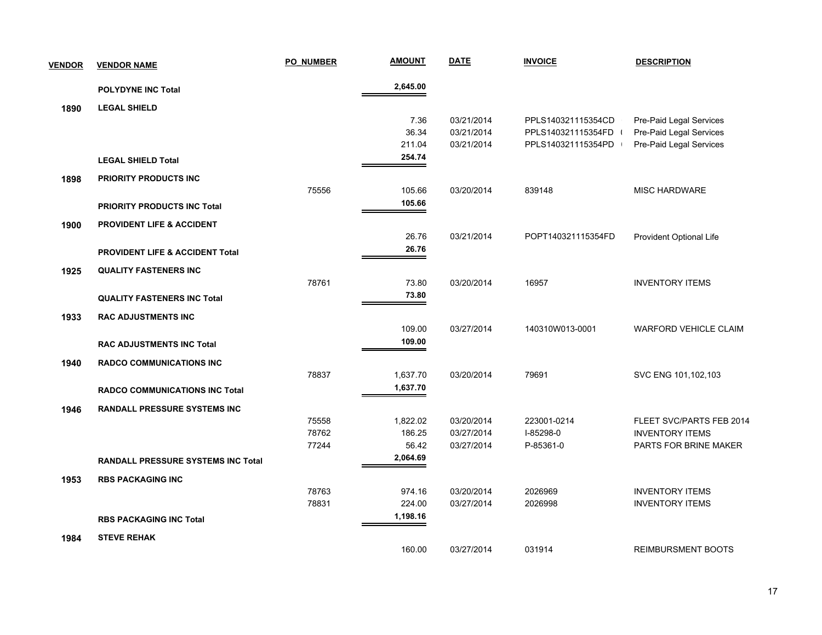| <b>VENDOR</b> | <b>VENDOR NAME</b>                         | <b>PO NUMBER</b> | <b>AMOUNT</b> | <b>DATE</b> | <b>INVOICE</b>     | <b>DESCRIPTION</b>           |
|---------------|--------------------------------------------|------------------|---------------|-------------|--------------------|------------------------------|
|               | <b>POLYDYNE INC Total</b>                  |                  | 2,645.00      |             |                    |                              |
| 1890          | <b>LEGAL SHIELD</b>                        |                  |               |             |                    |                              |
|               |                                            |                  | 7.36          | 03/21/2014  | PPLS140321115354CD | Pre-Paid Legal Services      |
|               |                                            |                  | 36.34         | 03/21/2014  | PPLS140321115354FD | Pre-Paid Legal Services      |
|               |                                            |                  | 211.04        | 03/21/2014  | PPLS140321115354PD | Pre-Paid Legal Services      |
|               | <b>LEGAL SHIELD Total</b>                  |                  | 254.74        |             |                    |                              |
| 1898          | PRIORITY PRODUCTS INC                      |                  |               |             |                    |                              |
|               |                                            | 75556            | 105.66        | 03/20/2014  | 839148             | <b>MISC HARDWARE</b>         |
|               | <b>PRIORITY PRODUCTS INC Total</b>         |                  | 105.66        |             |                    |                              |
| 1900          | <b>PROVIDENT LIFE &amp; ACCIDENT</b>       |                  |               |             |                    |                              |
|               |                                            |                  | 26.76         | 03/21/2014  | POPT140321115354FD | Provident Optional Life      |
|               | <b>PROVIDENT LIFE &amp; ACCIDENT Total</b> |                  | 26.76         |             |                    |                              |
| 1925          | <b>QUALITY FASTENERS INC</b>               |                  |               |             |                    |                              |
|               |                                            | 78761            | 73.80         | 03/20/2014  | 16957              | <b>INVENTORY ITEMS</b>       |
|               | <b>QUALITY FASTENERS INC Total</b>         |                  | 73.80         |             |                    |                              |
| 1933          | <b>RAC ADJUSTMENTS INC</b>                 |                  |               |             |                    |                              |
|               |                                            |                  | 109.00        | 03/27/2014  | 140310W013-0001    | <b>WARFORD VEHICLE CLAIM</b> |
|               | <b>RAC ADJUSTMENTS INC Total</b>           |                  | 109.00        |             |                    |                              |
| 1940          | <b>RADCO COMMUNICATIONS INC</b>            |                  |               |             |                    |                              |
|               |                                            | 78837            | 1,637.70      | 03/20/2014  | 79691              | SVC ENG 101,102,103          |
|               | <b>RADCO COMMUNICATIONS INC Total</b>      |                  | 1,637.70      |             |                    |                              |
| 1946          | <b>RANDALL PRESSURE SYSTEMS INC</b>        |                  |               |             |                    |                              |
|               |                                            | 75558            | 1,822.02      | 03/20/2014  | 223001-0214        | FLEET SVC/PARTS FEB 2014     |
|               |                                            | 78762            | 186.25        | 03/27/2014  | I-85298-0          | <b>INVENTORY ITEMS</b>       |
|               |                                            | 77244            | 56.42         | 03/27/2014  | P-85361-0          | PARTS FOR BRINE MAKER        |
|               | RANDALL PRESSURE SYSTEMS INC Total         |                  | 2,064.69      |             |                    |                              |
| 1953          | <b>RBS PACKAGING INC</b>                   |                  |               |             |                    |                              |
|               |                                            | 78763            | 974.16        | 03/20/2014  | 2026969            | <b>INVENTORY ITEMS</b>       |
|               |                                            | 78831            | 224.00        | 03/27/2014  | 2026998            | <b>INVENTORY ITEMS</b>       |
|               | <b>RBS PACKAGING INC Total</b>             |                  | 1,198.16      |             |                    |                              |
| 1984          | <b>STEVE REHAK</b>                         |                  |               |             |                    |                              |
|               |                                            |                  | 160.00        | 03/27/2014  | 031914             | <b>REIMBURSMENT BOOTS</b>    |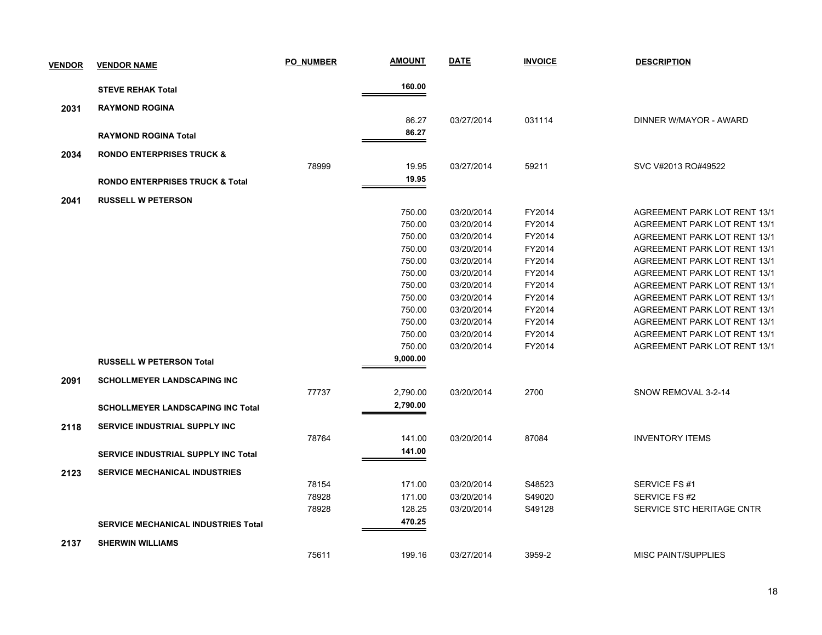| <b>VENDOR</b> | <b>VENDOR NAME</b>                         | <b>PO NUMBER</b> | <b>AMOUNT</b> | <b>DATE</b> | <b>INVOICE</b> | <b>DESCRIPTION</b>                  |
|---------------|--------------------------------------------|------------------|---------------|-------------|----------------|-------------------------------------|
|               | <b>STEVE REHAK Total</b>                   |                  | 160.00        |             |                |                                     |
| 2031          | <b>RAYMOND ROGINA</b>                      |                  |               |             |                |                                     |
|               |                                            |                  | 86.27         | 03/27/2014  | 031114         | DINNER W/MAYOR - AWARD              |
|               | <b>RAYMOND ROGINA Total</b>                |                  | 86.27         |             |                |                                     |
|               |                                            |                  |               |             |                |                                     |
| 2034          | <b>RONDO ENTERPRISES TRUCK &amp;</b>       |                  |               |             |                |                                     |
|               |                                            | 78999            | 19.95         | 03/27/2014  | 59211          | SVC V#2013 RO#49522                 |
|               | <b>RONDO ENTERPRISES TRUCK &amp; Total</b> |                  | 19.95         |             |                |                                     |
| 2041          | <b>RUSSELL W PETERSON</b>                  |                  |               |             |                |                                     |
|               |                                            |                  | 750.00        | 03/20/2014  | FY2014         | AGREEMENT PARK LOT RENT 13/1        |
|               |                                            |                  | 750.00        | 03/20/2014  | FY2014         | AGREEMENT PARK LOT RENT 13/1        |
|               |                                            |                  | 750.00        | 03/20/2014  | FY2014         | AGREEMENT PARK LOT RENT 13/1        |
|               |                                            |                  | 750.00        | 03/20/2014  | FY2014         | <b>AGREEMENT PARK LOT RENT 13/1</b> |
|               |                                            |                  | 750.00        | 03/20/2014  | FY2014         | AGREEMENT PARK LOT RENT 13/1        |
|               |                                            |                  | 750.00        | 03/20/2014  | FY2014         | <b>AGREEMENT PARK LOT RENT 13/1</b> |
|               |                                            |                  | 750.00        | 03/20/2014  | FY2014         | AGREEMENT PARK LOT RENT 13/1        |
|               |                                            |                  | 750.00        | 03/20/2014  | FY2014         | AGREEMENT PARK LOT RENT 13/1        |
|               |                                            |                  | 750.00        | 03/20/2014  | FY2014         | AGREEMENT PARK LOT RENT 13/1        |
|               |                                            |                  | 750.00        | 03/20/2014  | FY2014         | AGREEMENT PARK LOT RENT 13/1        |
|               |                                            |                  | 750.00        | 03/20/2014  | FY2014         | AGREEMENT PARK LOT RENT 13/1        |
|               |                                            |                  | 750.00        | 03/20/2014  | FY2014         | <b>AGREEMENT PARK LOT RENT 13/1</b> |
|               | <b>RUSSELL W PETERSON Total</b>            |                  | 9,000.00      |             |                |                                     |
| 2091          | <b>SCHOLLMEYER LANDSCAPING INC</b>         |                  |               |             |                |                                     |
|               |                                            | 77737            | 2,790.00      | 03/20/2014  | 2700           | SNOW REMOVAL 3-2-14                 |
|               |                                            |                  | 2,790.00      |             |                |                                     |
|               | <b>SCHOLLMEYER LANDSCAPING INC Total</b>   |                  |               |             |                |                                     |
| 2118          | SERVICE INDUSTRIAL SUPPLY INC              |                  |               |             |                |                                     |
|               |                                            | 78764            | 141.00        | 03/20/2014  | 87084          | <b>INVENTORY ITEMS</b>              |
|               | <b>SERVICE INDUSTRIAL SUPPLY INC Total</b> |                  | 141.00        |             |                |                                     |
| 2123          | <b>SERVICE MECHANICAL INDUSTRIES</b>       |                  |               |             |                |                                     |
|               |                                            | 78154            | 171.00        | 03/20/2014  | S48523         | SERVICE FS #1                       |
|               |                                            | 78928            | 171.00        | 03/20/2014  | S49020         | SERVICE FS #2                       |
|               |                                            | 78928            | 128.25        | 03/20/2014  | S49128         | SERVICE STC HERITAGE CNTR           |
|               | <b>SERVICE MECHANICAL INDUSTRIES Total</b> |                  | 470.25        |             |                |                                     |
| 2137          | <b>SHERWIN WILLIAMS</b>                    |                  |               |             |                |                                     |
|               |                                            | 75611            | 199.16        | 03/27/2014  | 3959-2         | <b>MISC PAINT/SUPPLIES</b>          |
|               |                                            |                  |               |             |                |                                     |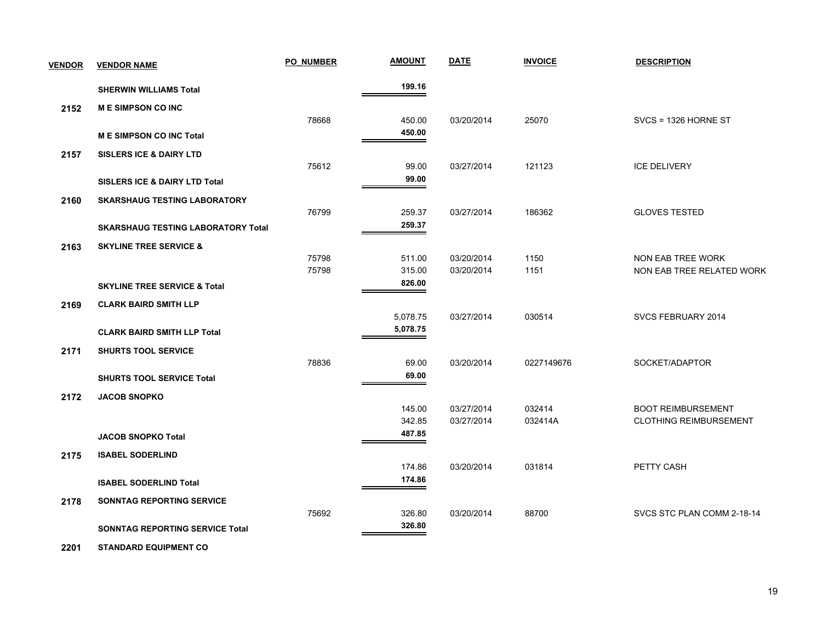| <b>VENDOR</b> | <b>VENDOR NAME</b>                        | <b>PO NUMBER</b> | <b>AMOUNT</b>    | <b>DATE</b> | <b>INVOICE</b> | <b>DESCRIPTION</b>            |
|---------------|-------------------------------------------|------------------|------------------|-------------|----------------|-------------------------------|
|               | <b>SHERWIN WILLIAMS Total</b>             |                  | 199.16           |             |                |                               |
| 2152          | <b>ME SIMPSON CO INC</b>                  |                  |                  |             |                |                               |
|               |                                           | 78668            | 450.00           | 03/20/2014  | 25070          | $SVCS = 1326$ HORNE ST        |
|               | <b>ME SIMPSON CO INC Total</b>            |                  | 450.00           |             |                |                               |
| 2157          | <b>SISLERS ICE &amp; DAIRY LTD</b>        |                  |                  |             |                |                               |
|               |                                           | 75612            | 99.00            | 03/27/2014  | 121123         | <b>ICE DELIVERY</b>           |
|               | <b>SISLERS ICE &amp; DAIRY LTD Total</b>  |                  | 99.00            |             |                |                               |
| 2160          | <b>SKARSHAUG TESTING LABORATORY</b>       |                  |                  |             |                |                               |
|               |                                           | 76799            | 259.37           | 03/27/2014  | 186362         | <b>GLOVES TESTED</b>          |
|               | <b>SKARSHAUG TESTING LABORATORY Total</b> |                  | 259.37           |             |                |                               |
| 2163          | <b>SKYLINE TREE SERVICE &amp;</b>         |                  |                  |             |                |                               |
|               |                                           | 75798            | 511.00           | 03/20/2014  | 1150           | NON EAB TREE WORK             |
|               |                                           | 75798            | 315.00<br>826.00 | 03/20/2014  | 1151           | NON EAB TREE RELATED WORK     |
|               | <b>SKYLINE TREE SERVICE &amp; Total</b>   |                  |                  |             |                |                               |
| 2169          | <b>CLARK BAIRD SMITH LLP</b>              |                  | 5,078.75         | 03/27/2014  | 030514         | SVCS FEBRUARY 2014            |
|               | <b>CLARK BAIRD SMITH LLP Total</b>        |                  | 5,078.75         |             |                |                               |
|               |                                           |                  |                  |             |                |                               |
| 2171          | <b>SHURTS TOOL SERVICE</b>                | 78836            | 69.00            | 03/20/2014  | 0227149676     | SOCKET/ADAPTOR                |
|               | <b>SHURTS TOOL SERVICE Total</b>          |                  | 69.00            |             |                |                               |
|               |                                           |                  |                  |             |                |                               |
| 2172          | <b>JACOB SNOPKO</b>                       |                  | 145.00           | 03/27/2014  | 032414         | <b>BOOT REIMBURSEMENT</b>     |
|               |                                           |                  | 342.85           | 03/27/2014  | 032414A        | <b>CLOTHING REIMBURSEMENT</b> |
|               | <b>JACOB SNOPKO Total</b>                 |                  | 487.85           |             |                |                               |
| 2175          | <b>ISABEL SODERLIND</b>                   |                  |                  |             |                |                               |
|               |                                           |                  | 174.86           | 03/20/2014  | 031814         | PETTY CASH                    |
|               | <b>ISABEL SODERLIND Total</b>             |                  | 174.86           |             |                |                               |
| 2178          | SONNTAG REPORTING SERVICE                 |                  |                  |             |                |                               |
|               |                                           | 75692            | 326.80           | 03/20/2014  | 88700          | SVCS STC PLAN COMM 2-18-14    |
|               | <b>SONNTAG REPORTING SERVICE Total</b>    |                  | 326.80           |             |                |                               |
|               |                                           |                  |                  |             |                |                               |

 **2201 STANDARD EQUIPMENT CO**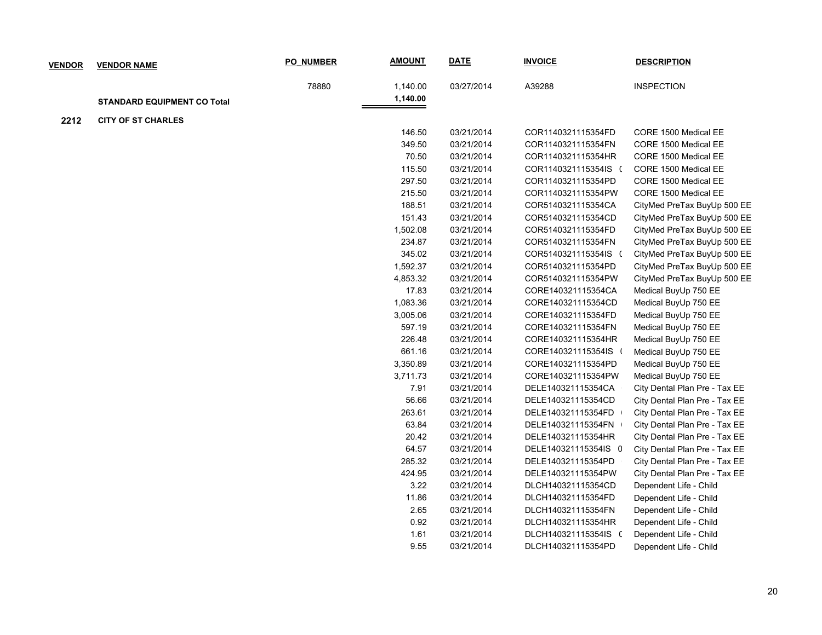| <b>VENDOR</b> | <b>VENDOR NAME</b>                 | <b>PO NUMBER</b> | <b>AMOUNT</b>        | <b>DATE</b> | <b>INVOICE</b>       | <b>DESCRIPTION</b>            |
|---------------|------------------------------------|------------------|----------------------|-------------|----------------------|-------------------------------|
|               | <b>STANDARD EQUIPMENT CO Total</b> | 78880            | 1,140.00<br>1,140.00 | 03/27/2014  | A39288               | <b>INSPECTION</b>             |
|               |                                    |                  |                      |             |                      |                               |
| 2212          | <b>CITY OF ST CHARLES</b>          |                  | 146.50               | 03/21/2014  | COR1140321115354FD   | CORE 1500 Medical EE          |
|               |                                    |                  | 349.50               | 03/21/2014  | COR1140321115354FN   | CORE 1500 Medical EE          |
|               |                                    |                  | 70.50                | 03/21/2014  | COR1140321115354HR   | CORE 1500 Medical EE          |
|               |                                    |                  | 115.50               | 03/21/2014  | COR1140321115354IS ( | CORE 1500 Medical EE          |
|               |                                    |                  | 297.50               | 03/21/2014  | COR1140321115354PD   | CORE 1500 Medical EE          |
|               |                                    |                  | 215.50               | 03/21/2014  | COR1140321115354PW   | CORE 1500 Medical EE          |
|               |                                    |                  | 188.51               | 03/21/2014  | COR5140321115354CA   | CityMed PreTax BuyUp 500 EE   |
|               |                                    |                  | 151.43               | 03/21/2014  | COR5140321115354CD   | CityMed PreTax BuyUp 500 EE   |
|               |                                    |                  | 1,502.08             | 03/21/2014  | COR5140321115354FD   | CityMed PreTax BuyUp 500 EE   |
|               |                                    |                  | 234.87               | 03/21/2014  | COR5140321115354FN   | CityMed PreTax BuyUp 500 EE   |
|               |                                    |                  | 345.02               | 03/21/2014  | COR5140321115354IS ( | CityMed PreTax BuyUp 500 EE   |
|               |                                    |                  | 1,592.37             | 03/21/2014  | COR5140321115354PD   | CityMed PreTax BuyUp 500 EE   |
|               |                                    |                  | 4,853.32             | 03/21/2014  | COR5140321115354PW   | CityMed PreTax BuyUp 500 EE   |
|               |                                    |                  | 17.83                | 03/21/2014  | CORE140321115354CA   | Medical BuyUp 750 EE          |
|               |                                    |                  | 1,083.36             | 03/21/2014  | CORE140321115354CD   | Medical BuyUp 750 EE          |
|               |                                    |                  | 3,005.06             | 03/21/2014  | CORE140321115354FD   | Medical BuyUp 750 EE          |
|               |                                    |                  | 597.19               | 03/21/2014  | CORE140321115354FN   | Medical BuyUp 750 EE          |
|               |                                    |                  | 226.48               | 03/21/2014  | CORE140321115354HR   | Medical BuyUp 750 EE          |
|               |                                    |                  | 661.16               | 03/21/2014  | CORE140321115354IS ( | Medical BuyUp 750 EE          |
|               |                                    |                  | 3,350.89             | 03/21/2014  | CORE140321115354PD   | Medical BuyUp 750 EE          |
|               |                                    |                  | 3,711.73             | 03/21/2014  | CORE140321115354PW   | Medical BuyUp 750 EE          |
|               |                                    |                  | 7.91                 | 03/21/2014  | DELE140321115354CA   | City Dental Plan Pre - Tax EE |
|               |                                    |                  | 56.66                | 03/21/2014  | DELE140321115354CD   | City Dental Plan Pre - Tax EE |
|               |                                    |                  | 263.61               | 03/21/2014  | DELE140321115354FD   | City Dental Plan Pre - Tax EE |
|               |                                    |                  | 63.84                | 03/21/2014  | DELE140321115354FN   | City Dental Plan Pre - Tax EE |
|               |                                    |                  | 20.42                | 03/21/2014  | DELE140321115354HR   | City Dental Plan Pre - Tax EE |
|               |                                    |                  | 64.57                | 03/21/2014  | DELE140321115354IS 0 | City Dental Plan Pre - Tax EE |
|               |                                    |                  | 285.32               | 03/21/2014  | DELE140321115354PD   | City Dental Plan Pre - Tax EE |
|               |                                    |                  | 424.95               | 03/21/2014  | DELE140321115354PW   | City Dental Plan Pre - Tax EE |
|               |                                    |                  | 3.22                 | 03/21/2014  | DLCH140321115354CD   | Dependent Life - Child        |
|               |                                    |                  | 11.86                | 03/21/2014  | DLCH140321115354FD   | Dependent Life - Child        |
|               |                                    |                  | 2.65                 | 03/21/2014  | DLCH140321115354FN   | Dependent Life - Child        |
|               |                                    |                  | 0.92                 | 03/21/2014  | DLCH140321115354HR   | Dependent Life - Child        |
|               |                                    |                  | 1.61                 | 03/21/2014  | DLCH140321115354IS ( | Dependent Life - Child        |
|               |                                    |                  | 9.55                 | 03/21/2014  | DLCH140321115354PD   | Dependent Life - Child        |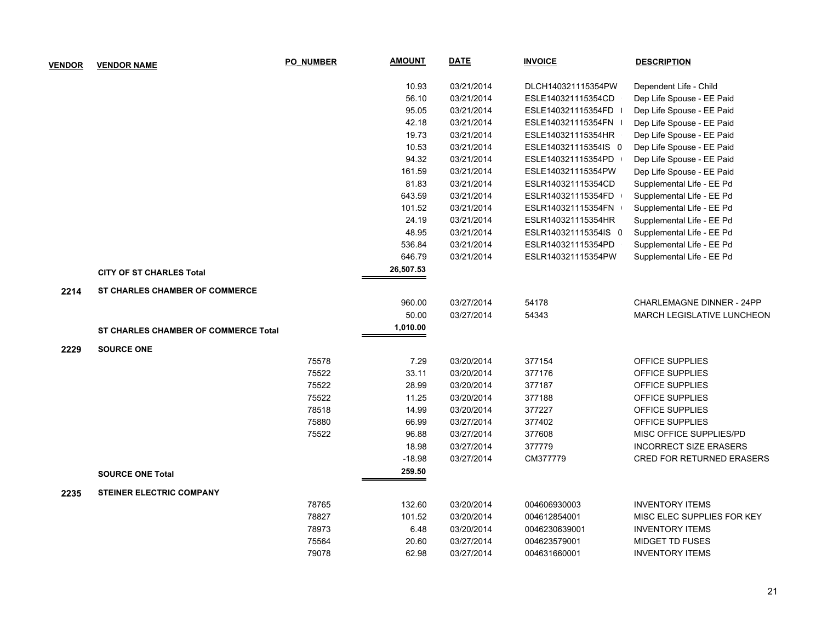| <b>VENDOR</b> | <b>VENDOR NAME</b>                    | <b>PO NUMBER</b> | <b>AMOUNT</b> | <b>DATE</b> | <b>INVOICE</b>       | <b>DESCRIPTION</b>                |
|---------------|---------------------------------------|------------------|---------------|-------------|----------------------|-----------------------------------|
|               |                                       |                  | 10.93         | 03/21/2014  | DLCH140321115354PW   | Dependent Life - Child            |
|               |                                       |                  | 56.10         | 03/21/2014  | ESLE140321115354CD   | Dep Life Spouse - EE Paid         |
|               |                                       |                  | 95.05         | 03/21/2014  | ESLE140321115354FD   | Dep Life Spouse - EE Paid         |
|               |                                       |                  | 42.18         | 03/21/2014  | ESLE140321115354FN   | Dep Life Spouse - EE Paid         |
|               |                                       |                  | 19.73         | 03/21/2014  | ESLE140321115354HR   | Dep Life Spouse - EE Paid         |
|               |                                       |                  | 10.53         | 03/21/2014  | ESLE140321115354IS 0 | Dep Life Spouse - EE Paid         |
|               |                                       |                  | 94.32         | 03/21/2014  | ESLE140321115354PD   | Dep Life Spouse - EE Paid         |
|               |                                       |                  | 161.59        | 03/21/2014  | ESLE140321115354PW   | Dep Life Spouse - EE Paid         |
|               |                                       |                  | 81.83         | 03/21/2014  | ESLR140321115354CD   | Supplemental Life - EE Pd         |
|               |                                       |                  | 643.59        | 03/21/2014  | ESLR140321115354FD   | Supplemental Life - EE Pd         |
|               |                                       |                  | 101.52        | 03/21/2014  | ESLR140321115354FN   | Supplemental Life - EE Pd         |
|               |                                       |                  | 24.19         | 03/21/2014  | ESLR140321115354HR   | Supplemental Life - EE Pd         |
|               |                                       |                  | 48.95         | 03/21/2014  | ESLR140321115354IS 0 | Supplemental Life - EE Pd         |
|               |                                       |                  | 536.84        | 03/21/2014  | ESLR140321115354PD   | Supplemental Life - EE Pd         |
|               |                                       |                  | 646.79        | 03/21/2014  | ESLR140321115354PW   | Supplemental Life - EE Pd         |
|               | <b>CITY OF ST CHARLES Total</b>       |                  | 26,507.53     |             |                      |                                   |
| 2214          | <b>ST CHARLES CHAMBER OF COMMERCE</b> |                  |               |             |                      |                                   |
|               |                                       |                  | 960.00        | 03/27/2014  | 54178                | CHARLEMAGNE DINNER - 24PP         |
|               |                                       |                  | 50.00         | 03/27/2014  | 54343                | <b>MARCH LEGISLATIVE LUNCHEON</b> |
|               | ST CHARLES CHAMBER OF COMMERCE Total  |                  | 1,010.00      |             |                      |                                   |
| 2229          | <b>SOURCE ONE</b>                     |                  |               |             |                      |                                   |
|               |                                       | 75578            | 7.29          | 03/20/2014  | 377154               | OFFICE SUPPLIES                   |
|               |                                       | 75522            | 33.11         | 03/20/2014  | 377176               | OFFICE SUPPLIES                   |
|               |                                       | 75522            | 28.99         | 03/20/2014  | 377187               | OFFICE SUPPLIES                   |
|               |                                       | 75522            | 11.25         | 03/20/2014  | 377188               | OFFICE SUPPLIES                   |
|               |                                       | 78518            | 14.99         | 03/20/2014  | 377227               | OFFICE SUPPLIES                   |
|               |                                       | 75880            | 66.99         | 03/27/2014  | 377402               | OFFICE SUPPLIES                   |
|               |                                       | 75522            | 96.88         | 03/27/2014  | 377608               | MISC OFFICE SUPPLIES/PD           |
|               |                                       |                  | 18.98         | 03/27/2014  | 377779               | <b>INCORRECT SIZE ERASERS</b>     |
|               |                                       |                  | $-18.98$      | 03/27/2014  | CM377779             | <b>CRED FOR RETURNED ERASERS</b>  |
|               | <b>SOURCE ONE Total</b>               |                  | 259.50        |             |                      |                                   |
| 2235          | <b>STEINER ELECTRIC COMPANY</b>       |                  |               |             |                      |                                   |
|               |                                       | 78765            | 132.60        | 03/20/2014  | 004606930003         | <b>INVENTORY ITEMS</b>            |
|               |                                       | 78827            | 101.52        | 03/20/2014  | 004612854001         | MISC ELEC SUPPLIES FOR KEY        |
|               |                                       | 78973            | 6.48          | 03/20/2014  | 0046230639001        | <b>INVENTORY ITEMS</b>            |
|               |                                       | 75564            | 20.60         | 03/27/2014  | 004623579001         | <b>MIDGET TD FUSES</b>            |
|               |                                       | 79078            | 62.98         | 03/27/2014  | 004631660001         | <b>INVENTORY ITEMS</b>            |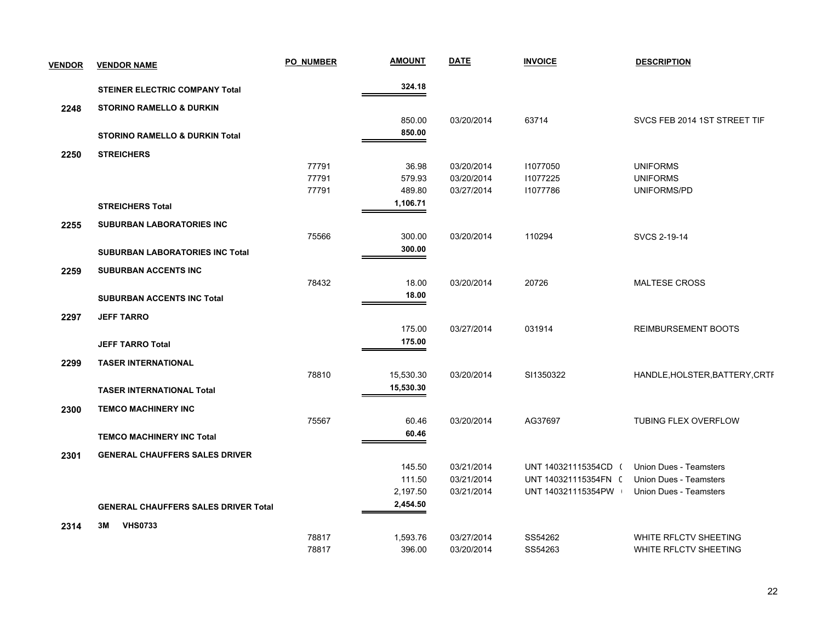| <b>VENDOR</b> | <b>VENDOR NAME</b>                          | <b>PO NUMBER</b> | <b>AMOUNT</b> | <b>DATE</b> | <b>INVOICE</b>       | <b>DESCRIPTION</b>             |
|---------------|---------------------------------------------|------------------|---------------|-------------|----------------------|--------------------------------|
|               | <b>STEINER ELECTRIC COMPANY Total</b>       |                  | 324.18        |             |                      |                                |
| 2248          | <b>STORINO RAMELLO &amp; DURKIN</b>         |                  |               |             |                      |                                |
|               |                                             |                  | 850.00        | 03/20/2014  | 63714                | SVCS FEB 2014 1ST STREET TIF   |
|               | <b>STORINO RAMELLO &amp; DURKIN Total</b>   |                  | 850.00        |             |                      |                                |
| 2250          | <b>STREICHERS</b>                           |                  |               |             |                      |                                |
|               |                                             | 77791            | 36.98         | 03/20/2014  | 11077050             | <b>UNIFORMS</b>                |
|               |                                             | 77791            | 579.93        | 03/20/2014  | 11077225             | <b>UNIFORMS</b>                |
|               |                                             | 77791            | 489.80        | 03/27/2014  | 11077786             | UNIFORMS/PD                    |
|               | <b>STREICHERS Total</b>                     |                  | 1,106.71      |             |                      |                                |
| 2255          | <b>SUBURBAN LABORATORIES INC</b>            |                  |               |             |                      |                                |
|               |                                             | 75566            | 300.00        | 03/20/2014  | 110294               | SVCS 2-19-14                   |
|               | <b>SUBURBAN LABORATORIES INC Total</b>      |                  | 300.00        |             |                      |                                |
| 2259          | SUBURBAN ACCENTS INC                        |                  |               |             |                      |                                |
|               |                                             | 78432            | 18.00         | 03/20/2014  | 20726                | <b>MALTESE CROSS</b>           |
|               | <b>SUBURBAN ACCENTS INC Total</b>           |                  | 18.00         |             |                      |                                |
| 2297          | <b>JEFF TARRO</b>                           |                  |               |             |                      |                                |
|               |                                             |                  | 175.00        | 03/27/2014  | 031914               | <b>REIMBURSEMENT BOOTS</b>     |
|               | <b>JEFF TARRO Total</b>                     |                  | 175.00        |             |                      |                                |
| 2299          | <b>TASER INTERNATIONAL</b>                  |                  |               |             |                      |                                |
|               |                                             | 78810            | 15,530.30     | 03/20/2014  | SI1350322            | HANDLE, HOLSTER, BATTERY, CRTF |
|               | <b>TASER INTERNATIONAL Total</b>            |                  | 15,530.30     |             |                      |                                |
| 2300          | <b>TEMCO MACHINERY INC</b>                  |                  |               |             |                      |                                |
|               |                                             | 75567            | 60.46         | 03/20/2014  | AG37697              | TUBING FLEX OVERFLOW           |
|               | <b>TEMCO MACHINERY INC Total</b>            |                  | 60.46         |             |                      |                                |
| 2301          | <b>GENERAL CHAUFFERS SALES DRIVER</b>       |                  |               |             |                      |                                |
|               |                                             |                  | 145.50        | 03/21/2014  | UNT 140321115354CD ( | <b>Union Dues - Teamsters</b>  |
|               |                                             |                  | 111.50        | 03/21/2014  | UNT 140321115354FN ( | <b>Union Dues - Teamsters</b>  |
|               |                                             |                  | 2,197.50      | 03/21/2014  | UNT 140321115354PW   | <b>Union Dues - Teamsters</b>  |
|               | <b>GENERAL CHAUFFERS SALES DRIVER Total</b> |                  | 2,454.50      |             |                      |                                |
| 2314          | <b>VHS0733</b><br>3M                        |                  |               |             |                      |                                |
|               |                                             | 78817            | 1,593.76      | 03/27/2014  | SS54262              | WHITE RFLCTV SHEETING          |
|               |                                             | 78817            | 396.00        | 03/20/2014  | SS54263              | WHITE RFLCTV SHEETING          |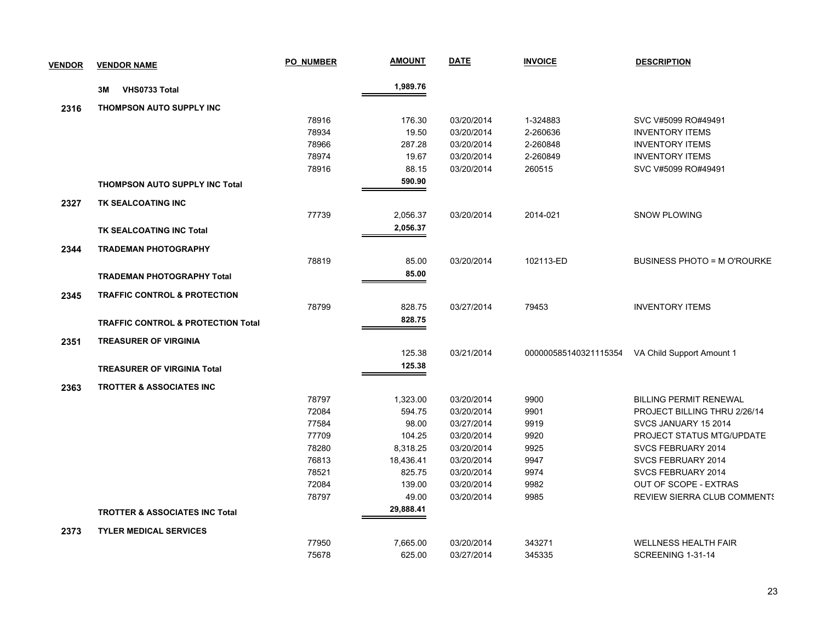| <b>VENDOR</b> | <b>VENDOR NAME</b>                            | PO NUMBER | <u>AMOUNT</u> | <b>DATE</b> | <b>INVOICE</b> | <b>DESCRIPTION</b>                              |
|---------------|-----------------------------------------------|-----------|---------------|-------------|----------------|-------------------------------------------------|
|               | VHS0733 Total<br>3M                           |           | 1,989.76      |             |                |                                                 |
| 2316          | <b>THOMPSON AUTO SUPPLY INC</b>               |           |               |             |                |                                                 |
|               |                                               | 78916     | 176.30        | 03/20/2014  | 1-324883       | SVC V#5099 RO#49491                             |
|               |                                               | 78934     | 19.50         | 03/20/2014  | 2-260636       | <b>INVENTORY ITEMS</b>                          |
|               |                                               | 78966     | 287.28        | 03/20/2014  | 2-260848       | <b>INVENTORY ITEMS</b>                          |
|               |                                               | 78974     | 19.67         | 03/20/2014  | 2-260849       | <b>INVENTORY ITEMS</b>                          |
|               |                                               | 78916     | 88.15         | 03/20/2014  | 260515         | SVC V#5099 RO#49491                             |
|               | <b>THOMPSON AUTO SUPPLY INC Total</b>         |           | 590.90        |             |                |                                                 |
| 2327          | TK SEALCOATING INC                            |           |               |             |                |                                                 |
|               |                                               | 77739     | 2,056.37      | 03/20/2014  | 2014-021       | <b>SNOW PLOWING</b>                             |
|               | TK SEALCOATING INC Total                      |           | 2,056.37      |             |                |                                                 |
|               |                                               |           |               |             |                |                                                 |
| 2344          | <b>TRADEMAN PHOTOGRAPHY</b>                   |           |               |             |                |                                                 |
|               |                                               | 78819     | 85.00         | 03/20/2014  | 102113-ED      | <b>BUSINESS PHOTO = M O'ROURKE</b>              |
|               | <b>TRADEMAN PHOTOGRAPHY Total</b>             |           | 85.00         |             |                |                                                 |
| 2345          | <b>TRAFFIC CONTROL &amp; PROTECTION</b>       |           |               |             |                |                                                 |
|               |                                               | 78799     | 828.75        | 03/27/2014  | 79453          | <b>INVENTORY ITEMS</b>                          |
|               | <b>TRAFFIC CONTROL &amp; PROTECTION Total</b> |           | 828.75        |             |                |                                                 |
| 2351          | <b>TREASURER OF VIRGINIA</b>                  |           |               |             |                |                                                 |
|               |                                               |           | 125.38        | 03/21/2014  |                | 000000585140321115354 VA Child Support Amount 1 |
|               | <b>TREASURER OF VIRGINIA Total</b>            |           | 125.38        |             |                |                                                 |
|               |                                               |           |               |             |                |                                                 |
| 2363          | <b>TROTTER &amp; ASSOCIATES INC</b>           |           |               |             |                |                                                 |
|               |                                               | 78797     | 1,323.00      | 03/20/2014  | 9900           | <b>BILLING PERMIT RENEWAL</b>                   |
|               |                                               | 72084     | 594.75        | 03/20/2014  | 9901           | PROJECT BILLING THRU 2/26/14                    |
|               |                                               | 77584     | 98.00         | 03/27/2014  | 9919           | SVCS JANUARY 15 2014                            |
|               |                                               | 77709     | 104.25        | 03/20/2014  | 9920           | PROJECT STATUS MTG/UPDATE                       |
|               |                                               | 78280     | 8,318.25      | 03/20/2014  | 9925           | SVCS FEBRUARY 2014                              |
|               |                                               | 76813     | 18,436.41     | 03/20/2014  | 9947           | SVCS FEBRUARY 2014                              |
|               |                                               | 78521     | 825.75        | 03/20/2014  | 9974           | SVCS FEBRUARY 2014                              |
|               |                                               | 72084     | 139.00        | 03/20/2014  | 9982           | OUT OF SCOPE - EXTRAS                           |
|               |                                               | 78797     | 49.00         | 03/20/2014  | 9985           | <b>REVIEW SIERRA CLUB COMMENTS</b>              |
|               | <b>TROTTER &amp; ASSOCIATES INC Total</b>     |           | 29,888.41     |             |                |                                                 |
| 2373          | <b>TYLER MEDICAL SERVICES</b>                 |           |               |             |                |                                                 |
|               |                                               | 77950     | 7,665.00      | 03/20/2014  | 343271         | <b>WELLNESS HEALTH FAIR</b>                     |
|               |                                               | 75678     | 625.00        | 03/27/2014  | 345335         | SCREENING 1-31-14                               |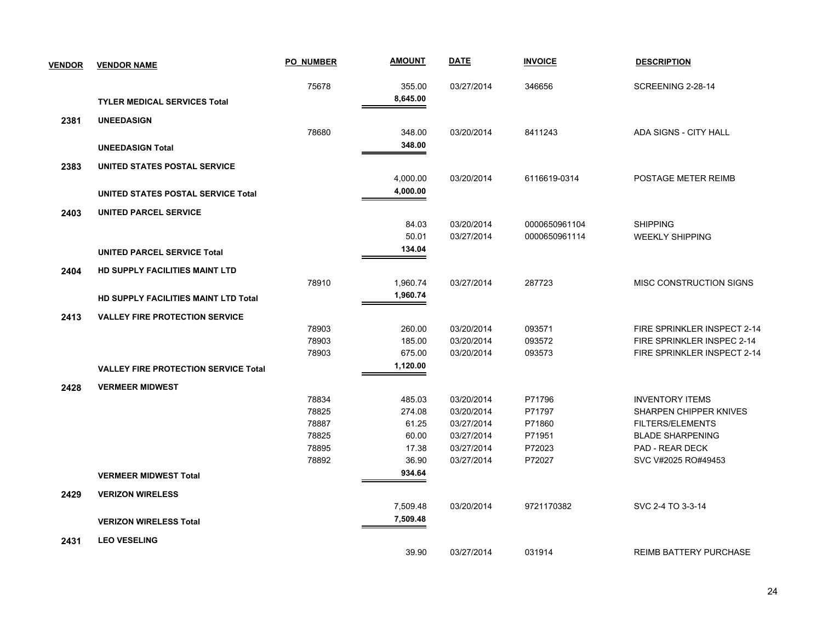| <b>VENDOR</b> | <b>VENDOR NAME</b>                          | <b>PO NUMBER</b> | <b>AMOUNT</b> | <b>DATE</b> | <b>INVOICE</b> | <b>DESCRIPTION</b>            |
|---------------|---------------------------------------------|------------------|---------------|-------------|----------------|-------------------------------|
|               |                                             | 75678            | 355.00        | 03/27/2014  | 346656         | SCREENING 2-28-14             |
|               | <b>TYLER MEDICAL SERVICES Total</b>         |                  | 8,645.00      |             |                |                               |
| 2381          | <b>UNEEDASIGN</b>                           |                  |               |             |                |                               |
|               |                                             | 78680            | 348.00        | 03/20/2014  | 8411243        | ADA SIGNS - CITY HALL         |
|               | <b>UNEEDASIGN Total</b>                     |                  | 348.00        |             |                |                               |
| 2383          | UNITED STATES POSTAL SERVICE                |                  |               |             |                |                               |
|               |                                             |                  | 4,000.00      | 03/20/2014  | 6116619-0314   | POSTAGE METER REIMB           |
|               | UNITED STATES POSTAL SERVICE Total          |                  | 4,000.00      |             |                |                               |
| 2403          | <b>UNITED PARCEL SERVICE</b>                |                  |               |             |                |                               |
|               |                                             |                  | 84.03         | 03/20/2014  | 0000650961104  | <b>SHIPPING</b>               |
|               |                                             |                  | 50.01         | 03/27/2014  | 0000650961114  | <b>WEEKLY SHIPPING</b>        |
|               | <b>UNITED PARCEL SERVICE Total</b>          |                  | 134.04        |             |                |                               |
| 2404          | HD SUPPLY FACILITIES MAINT LTD              |                  |               |             |                |                               |
|               |                                             | 78910            | 1,960.74      | 03/27/2014  | 287723         | MISC CONSTRUCTION SIGNS       |
|               | <b>HD SUPPLY FACILITIES MAINT LTD Total</b> |                  | 1,960.74      |             |                |                               |
| 2413          | <b>VALLEY FIRE PROTECTION SERVICE</b>       |                  |               |             |                |                               |
|               |                                             | 78903            | 260.00        | 03/20/2014  | 093571         | FIRE SPRINKLER INSPECT 2-14   |
|               |                                             | 78903            | 185.00        | 03/20/2014  | 093572         | FIRE SPRINKLER INSPEC 2-14    |
|               |                                             | 78903            | 675.00        | 03/20/2014  | 093573         | FIRE SPRINKLER INSPECT 2-14   |
|               | <b>VALLEY FIRE PROTECTION SERVICE Total</b> |                  | 1,120.00      |             |                |                               |
| 2428          | <b>VERMEER MIDWEST</b>                      |                  |               |             |                |                               |
|               |                                             | 78834            | 485.03        | 03/20/2014  | P71796         | <b>INVENTORY ITEMS</b>        |
|               |                                             | 78825            | 274.08        | 03/20/2014  | P71797         | SHARPEN CHIPPER KNIVES        |
|               |                                             | 78887            | 61.25         | 03/27/2014  | P71860         | <b>FILTERS/ELEMENTS</b>       |
|               |                                             | 78825            | 60.00         | 03/27/2014  | P71951         | <b>BLADE SHARPENING</b>       |
|               |                                             | 78895            | 17.38         | 03/27/2014  | P72023         | <b>PAD - REAR DECK</b>        |
|               |                                             | 78892            | 36.90         | 03/27/2014  | P72027         | SVC V#2025 RO#49453           |
|               | <b>VERMEER MIDWEST Total</b>                |                  | 934.64        |             |                |                               |
| 2429          | <b>VERIZON WIRELESS</b>                     |                  |               |             |                |                               |
|               |                                             |                  | 7,509.48      | 03/20/2014  | 9721170382     | SVC 2-4 TO 3-3-14             |
|               | <b>VERIZON WIRELESS Total</b>               |                  | 7,509.48      |             |                |                               |
| 2431          | <b>LEO VESELING</b>                         |                  |               |             |                |                               |
|               |                                             |                  | 39.90         | 03/27/2014  | 031914         | <b>REIMB BATTERY PURCHASE</b> |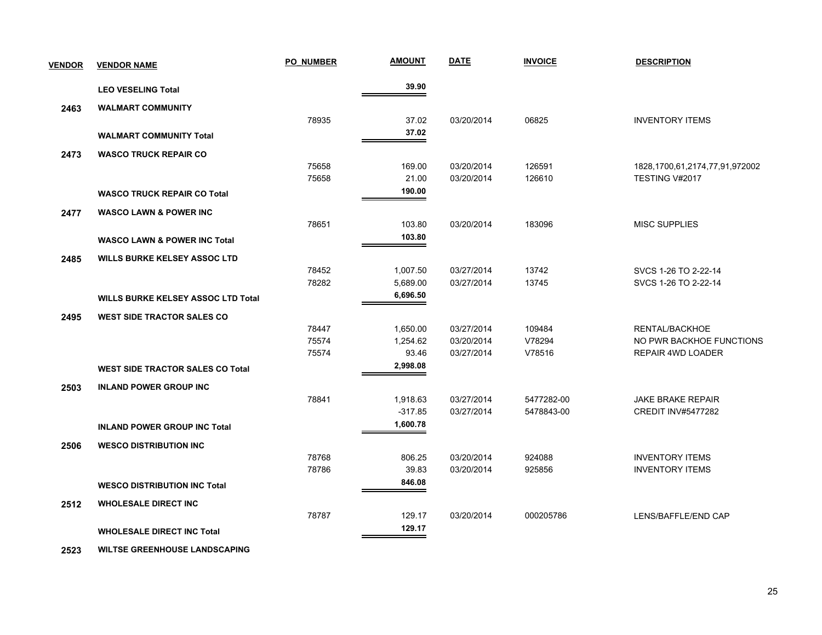| <b>VENDOR</b> | <b>VENDOR NAME</b>                        | <b>PO NUMBER</b> | <b>AMOUNT</b> | <b>DATE</b> | <b>INVOICE</b> | <b>DESCRIPTION</b>                   |
|---------------|-------------------------------------------|------------------|---------------|-------------|----------------|--------------------------------------|
|               | <b>LEO VESELING Total</b>                 |                  | 39.90         |             |                |                                      |
| 2463          | <b>WALMART COMMUNITY</b>                  |                  |               |             |                |                                      |
|               |                                           | 78935            | 37.02         | 03/20/2014  | 06825          | <b>INVENTORY ITEMS</b>               |
|               | <b>WALMART COMMUNITY Total</b>            |                  | 37.02         |             |                |                                      |
| 2473          | <b>WASCO TRUCK REPAIR CO</b>              |                  |               |             |                |                                      |
|               |                                           | 75658            | 169.00        | 03/20/2014  | 126591         | 1828, 1700, 61, 2174, 77, 91, 972002 |
|               |                                           | 75658            | 21.00         | 03/20/2014  | 126610         | TESTING V#2017                       |
|               | <b>WASCO TRUCK REPAIR CO Total</b>        |                  | 190.00        |             |                |                                      |
| 2477          | <b>WASCO LAWN &amp; POWER INC</b>         |                  |               |             |                |                                      |
|               |                                           | 78651            | 103.80        | 03/20/2014  | 183096         | <b>MISC SUPPLIES</b>                 |
|               | <b>WASCO LAWN &amp; POWER INC Total</b>   |                  | 103.80        |             |                |                                      |
| 2485          | <b>WILLS BURKE KELSEY ASSOC LTD</b>       |                  |               |             |                |                                      |
|               |                                           | 78452            | 1,007.50      | 03/27/2014  | 13742          | SVCS 1-26 TO 2-22-14                 |
|               |                                           | 78282            | 5,689.00      | 03/27/2014  | 13745          | SVCS 1-26 TO 2-22-14                 |
|               | <b>WILLS BURKE KELSEY ASSOC LTD Total</b> |                  | 6,696.50      |             |                |                                      |
| 2495          | <b>WEST SIDE TRACTOR SALES CO</b>         |                  |               |             |                |                                      |
|               |                                           | 78447            | 1,650.00      | 03/27/2014  | 109484         | RENTAL/BACKHOE                       |
|               |                                           | 75574            | 1,254.62      | 03/20/2014  | V78294         | NO PWR BACKHOE FUNCTIONS             |
|               |                                           | 75574            | 93.46         | 03/27/2014  | V78516         | <b>REPAIR 4WD LOADER</b>             |
|               | <b>WEST SIDE TRACTOR SALES CO Total</b>   |                  | 2,998.08      |             |                |                                      |
| 2503          | <b>INLAND POWER GROUP INC</b>             |                  |               |             |                |                                      |
|               |                                           | 78841            | 1,918.63      | 03/27/2014  | 5477282-00     | <b>JAKE BRAKE REPAIR</b>             |
|               |                                           |                  | $-317.85$     | 03/27/2014  | 5478843-00     | <b>CREDIT INV#5477282</b>            |
|               | <b>INLAND POWER GROUP INC Total</b>       |                  | 1,600.78      |             |                |                                      |
| 2506          | <b>WESCO DISTRIBUTION INC</b>             |                  |               |             |                |                                      |
|               |                                           | 78768            | 806.25        | 03/20/2014  | 924088         | <b>INVENTORY ITEMS</b>               |
|               |                                           | 78786            | 39.83         | 03/20/2014  | 925856         | <b>INVENTORY ITEMS</b>               |
|               | <b>WESCO DISTRIBUTION INC Total</b>       |                  | 846.08        |             |                |                                      |
| 2512          | <b>WHOLESALE DIRECT INC</b>               |                  |               |             |                |                                      |
|               |                                           | 78787            | 129.17        | 03/20/2014  | 000205786      | LENS/BAFFLE/END CAP                  |
|               | <b>WHOLESALE DIRECT INC Total</b>         |                  | 129.17        |             |                |                                      |
|               |                                           |                  |               |             |                |                                      |

 **2523 WILTSE GREENHOUSE LANDSCAPING**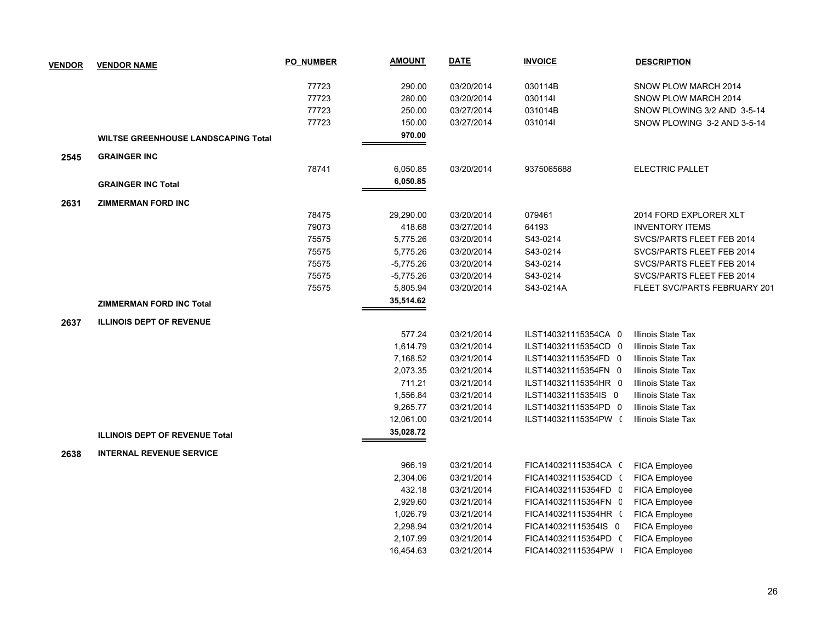| <b>VENDOR</b> | <b>VENDOR NAME</b>                         | <b>PO NUMBER</b> | <b>AMOUNT</b> | <b>DATE</b> | <b>INVOICE</b>       | <b>DESCRIPTION</b>           |
|---------------|--------------------------------------------|------------------|---------------|-------------|----------------------|------------------------------|
|               |                                            |                  |               |             |                      |                              |
|               |                                            | 77723            | 290.00        | 03/20/2014  | 030114B              | SNOW PLOW MARCH 2014         |
|               |                                            | 77723            | 280.00        | 03/20/2014  | 0301141              | SNOW PLOW MARCH 2014         |
|               |                                            | 77723            | 250.00        | 03/27/2014  | 031014B              | SNOW PLOWING 3/2 AND 3-5-14  |
|               |                                            | 77723            | 150.00        | 03/27/2014  | 0310141              | SNOW PLOWING 3-2 AND 3-5-14  |
|               | <b>WILTSE GREENHOUSE LANDSCAPING Total</b> |                  | 970.00        |             |                      |                              |
| 2545          | <b>GRAINGER INC</b>                        |                  |               |             |                      |                              |
|               |                                            | 78741            | 6,050.85      | 03/20/2014  | 9375065688           | <b>ELECTRIC PALLET</b>       |
|               | <b>GRAINGER INC Total</b>                  |                  | 6,050.85      |             |                      |                              |
|               |                                            |                  |               |             |                      |                              |
| 2631          | <b>ZIMMERMAN FORD INC</b>                  | 78475            | 29,290.00     | 03/20/2014  | 079461               | 2014 FORD EXPLORER XLT       |
|               |                                            | 79073            | 418.68        | 03/27/2014  | 64193                | <b>INVENTORY ITEMS</b>       |
|               |                                            | 75575            | 5,775.26      | 03/20/2014  | S43-0214             | SVCS/PARTS FLEET FEB 2014    |
|               |                                            | 75575            | 5,775.26      | 03/20/2014  | S43-0214             | SVCS/PARTS FLEET FEB 2014    |
|               |                                            | 75575            | $-5,775.26$   | 03/20/2014  | S43-0214             | SVCS/PARTS FLEET FEB 2014    |
|               |                                            | 75575            | $-5,775.26$   | 03/20/2014  | S43-0214             | SVCS/PARTS FLEET FEB 2014    |
|               |                                            |                  |               |             |                      |                              |
|               |                                            | 75575            | 5,805.94      | 03/20/2014  | S43-0214A            | FLEET SVC/PARTS FEBRUARY 201 |
|               | <b>ZIMMERMAN FORD INC Total</b>            |                  | 35,514.62     |             |                      |                              |
| 2637          | <b>ILLINOIS DEPT OF REVENUE</b>            |                  |               |             |                      |                              |
|               |                                            |                  | 577.24        | 03/21/2014  | ILST140321115354CA 0 | Illinois State Tax           |
|               |                                            |                  | 1,614.79      | 03/21/2014  | ILST140321115354CD 0 | Illinois State Tax           |
|               |                                            |                  | 7,168.52      | 03/21/2014  | ILST140321115354FD 0 | Illinois State Tax           |
|               |                                            |                  | 2,073.35      | 03/21/2014  | ILST140321115354FN 0 | Illinois State Tax           |
|               |                                            |                  | 711.21        | 03/21/2014  | ILST140321115354HR 0 | Illinois State Tax           |
|               |                                            |                  | 1,556.84      | 03/21/2014  | ILST140321115354IS 0 | Illinois State Tax           |
|               |                                            |                  | 9,265.77      | 03/21/2014  | ILST140321115354PD 0 | Illinois State Tax           |
|               |                                            |                  | 12,061.00     | 03/21/2014  | ILST140321115354PW ( | Illinois State Tax           |
|               | <b>ILLINOIS DEPT OF REVENUE Total</b>      |                  | 35,028.72     |             |                      |                              |
| 2638          | <b>INTERNAL REVENUE SERVICE</b>            |                  |               |             |                      |                              |
|               |                                            |                  | 966.19        | 03/21/2014  | FICA140321115354CA ( | FICA Employee                |
|               |                                            |                  | 2,304.06      | 03/21/2014  | FICA140321115354CD ( | <b>FICA Employee</b>         |
|               |                                            |                  | 432.18        | 03/21/2014  | FICA140321115354FD C | FICA Employee                |
|               |                                            |                  | 2,929.60      | 03/21/2014  | FICA140321115354FN C | FICA Employee                |
|               |                                            |                  | 1,026.79      | 03/21/2014  | FICA140321115354HR ( | FICA Employee                |
|               |                                            |                  | 2,298.94      | 03/21/2014  | FICA140321115354IS 0 | FICA Employee                |
|               |                                            |                  | 2,107.99      | 03/21/2014  | FICA140321115354PD ( | FICA Employee                |
|               |                                            |                  | 16,454.63     | 03/21/2014  | FICA140321115354PW   | <b>FICA Employee</b>         |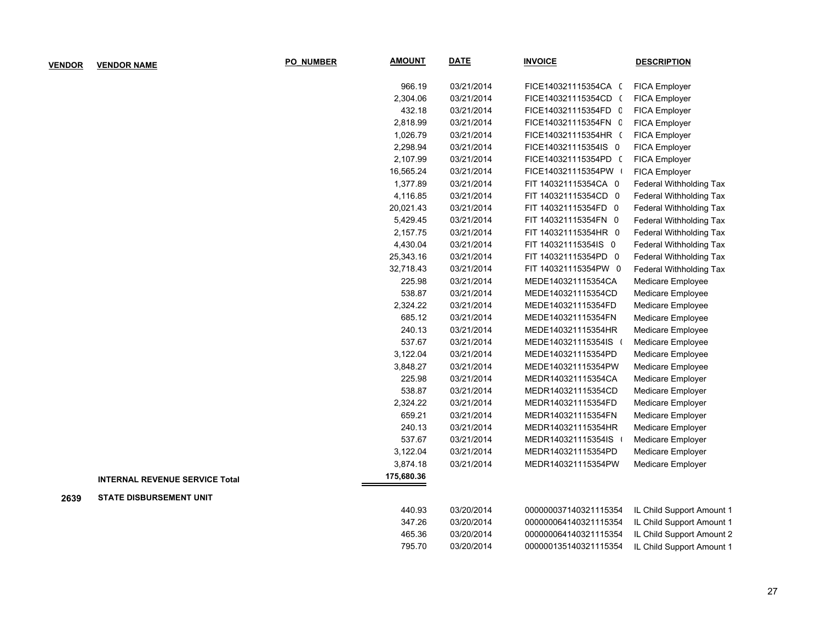| <b>VENDOR</b> | <b>VENDOR NAME</b>                    | <b>PO NUMBER</b> | <b>AMOUNT</b> | <b>DATE</b> | <b>INVOICE</b>        | <b>DESCRIPTION</b>             |
|---------------|---------------------------------------|------------------|---------------|-------------|-----------------------|--------------------------------|
|               |                                       |                  | 966.19        | 03/21/2014  | FICE140321115354CA (  | FICA Employer                  |
|               |                                       |                  | 2,304.06      | 03/21/2014  | FICE140321115354CD (  | FICA Employer                  |
|               |                                       |                  | 432.18        | 03/21/2014  | FICE140321115354FD C  | FICA Employer                  |
|               |                                       |                  | 2,818.99      | 03/21/2014  | FICE140321115354FN C  | FICA Employer                  |
|               |                                       |                  | 1,026.79      | 03/21/2014  | FICE140321115354HR (  | FICA Employer                  |
|               |                                       |                  | 2,298.94      | 03/21/2014  | FICE140321115354IS 0  | FICA Employer                  |
|               |                                       |                  | 2,107.99      | 03/21/2014  | FICE140321115354PD (  | FICA Employer                  |
|               |                                       |                  | 16,565.24     | 03/21/2014  | FICE140321115354PW    | FICA Employer                  |
|               |                                       |                  | 1,377.89      | 03/21/2014  | FIT 140321115354CA 0  | Federal Withholding Tax        |
|               |                                       |                  | 4,116.85      | 03/21/2014  | FIT 140321115354CD 0  | Federal Withholding Tax        |
|               |                                       |                  | 20,021.43     | 03/21/2014  | FIT 140321115354FD 0  | Federal Withholding Tax        |
|               |                                       |                  | 5,429.45      | 03/21/2014  | FIT 140321115354FN 0  | Federal Withholding Tax        |
|               |                                       |                  | 2,157.75      | 03/21/2014  | FIT 140321115354HR 0  | Federal Withholding Tax        |
|               |                                       |                  | 4,430.04      | 03/21/2014  | FIT 140321115354IS 0  | <b>Federal Withholding Tax</b> |
|               |                                       |                  | 25,343.16     | 03/21/2014  | FIT 140321115354PD 0  | Federal Withholding Tax        |
|               |                                       |                  | 32,718.43     | 03/21/2014  | FIT 140321115354PW 0  | Federal Withholding Tax        |
|               |                                       |                  | 225.98        | 03/21/2014  | MEDE140321115354CA    | Medicare Employee              |
|               |                                       |                  | 538.87        | 03/21/2014  | MEDE140321115354CD    | Medicare Employee              |
|               |                                       |                  | 2,324.22      | 03/21/2014  | MEDE140321115354FD    | Medicare Employee              |
|               |                                       |                  | 685.12        | 03/21/2014  | MEDE140321115354FN    | Medicare Employee              |
|               |                                       |                  | 240.13        | 03/21/2014  | MEDE140321115354HR    | Medicare Employee              |
|               |                                       |                  | 537.67        | 03/21/2014  | MEDE140321115354IS    | Medicare Employee              |
|               |                                       |                  | 3,122.04      | 03/21/2014  | MEDE140321115354PD    | Medicare Employee              |
|               |                                       |                  | 3,848.27      | 03/21/2014  | MEDE140321115354PW    | Medicare Employee              |
|               |                                       |                  | 225.98        | 03/21/2014  | MEDR140321115354CA    | Medicare Employer              |
|               |                                       |                  | 538.87        | 03/21/2014  | MEDR140321115354CD    | Medicare Employer              |
|               |                                       |                  | 2,324.22      | 03/21/2014  | MEDR140321115354FD    | Medicare Employer              |
|               |                                       |                  | 659.21        | 03/21/2014  | MEDR140321115354FN    | Medicare Employer              |
|               |                                       |                  | 240.13        | 03/21/2014  | MEDR140321115354HR    | Medicare Employer              |
|               |                                       |                  | 537.67        | 03/21/2014  | MEDR140321115354IS    | Medicare Employer              |
|               |                                       |                  | 3,122.04      | 03/21/2014  | MEDR140321115354PD    | Medicare Employer              |
|               |                                       |                  | 3,874.18      | 03/21/2014  | MEDR140321115354PW    | Medicare Employer              |
|               | <b>INTERNAL REVENUE SERVICE Total</b> |                  | 175,680.36    |             |                       |                                |
| 2639          | <b>STATE DISBURSEMENT UNIT</b>        |                  |               |             |                       |                                |
|               |                                       |                  | 440.93        | 03/20/2014  | 000000037140321115354 | IL Child Support Amount 1      |
|               |                                       |                  | 347.26        | 03/20/2014  | 000000064140321115354 | IL Child Support Amount 1      |
|               |                                       |                  | 465.36        | 03/20/2014  | 000000064140321115354 | IL Child Support Amount 2      |
|               |                                       |                  | 795.70        | 03/20/2014  | 000000135140321115354 | IL Child Support Amount 1      |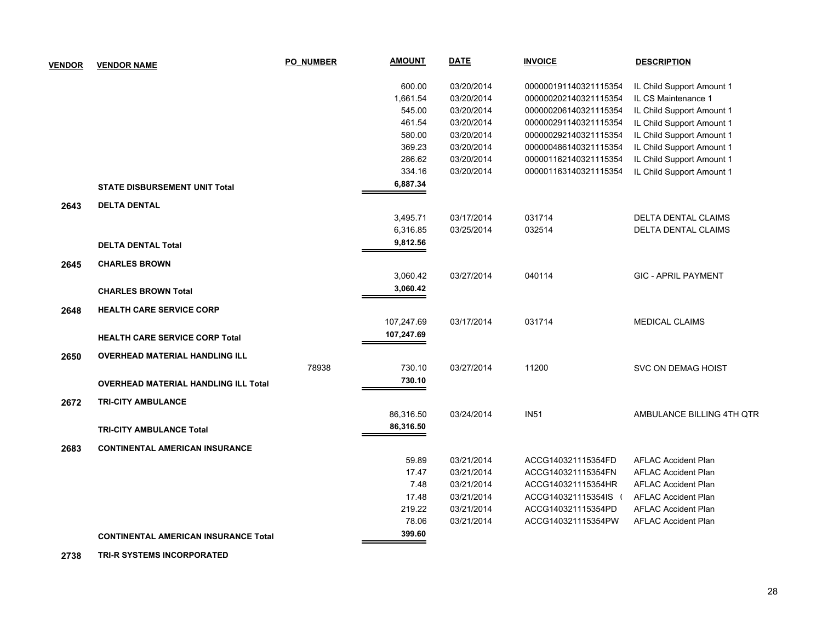| <b>VENDOR</b> | <b>VENDOR NAME</b>                          | <b>PO NUMBER</b> | <b>AMOUNT</b> | <b>DATE</b> | <b>INVOICE</b>        | <b>DESCRIPTION</b>         |
|---------------|---------------------------------------------|------------------|---------------|-------------|-----------------------|----------------------------|
|               |                                             |                  | 600.00        | 03/20/2014  | 000000191140321115354 | IL Child Support Amount 1  |
|               |                                             |                  | 1,661.54      | 03/20/2014  | 000000202140321115354 | IL CS Maintenance 1        |
|               |                                             |                  | 545.00        | 03/20/2014  | 000000206140321115354 | IL Child Support Amount 1  |
|               |                                             |                  | 461.54        | 03/20/2014  | 000000291140321115354 | IL Child Support Amount 1  |
|               |                                             |                  | 580.00        | 03/20/2014  | 000000292140321115354 | IL Child Support Amount 1  |
|               |                                             |                  | 369.23        | 03/20/2014  | 000000486140321115354 | IL Child Support Amount 1  |
|               |                                             |                  | 286.62        | 03/20/2014  | 000001162140321115354 | IL Child Support Amount 1  |
|               |                                             |                  | 334.16        | 03/20/2014  | 000001163140321115354 | IL Child Support Amount 1  |
|               | <b>STATE DISBURSEMENT UNIT Total</b>        |                  | 6,887.34      |             |                       |                            |
| 2643          | <b>DELTA DENTAL</b>                         |                  |               |             |                       |                            |
|               |                                             |                  | 3,495.71      | 03/17/2014  | 031714                | <b>DELTA DENTAL CLAIMS</b> |
|               |                                             |                  | 6,316.85      | 03/25/2014  | 032514                | DELTA DENTAL CLAIMS        |
|               | <b>DELTA DENTAL Total</b>                   |                  | 9,812.56      |             |                       |                            |
| 2645          | <b>CHARLES BROWN</b>                        |                  |               |             |                       |                            |
|               |                                             |                  | 3,060.42      | 03/27/2014  | 040114                | <b>GIC - APRIL PAYMENT</b> |
|               | <b>CHARLES BROWN Total</b>                  |                  | 3,060.42      |             |                       |                            |
| 2648          | <b>HEALTH CARE SERVICE CORP</b>             |                  |               |             |                       |                            |
|               |                                             |                  | 107,247.69    | 03/17/2014  | 031714                | <b>MEDICAL CLAIMS</b>      |
|               | <b>HEALTH CARE SERVICE CORP Total</b>       |                  | 107,247.69    |             |                       |                            |
| 2650          | <b>OVERHEAD MATERIAL HANDLING ILL</b>       |                  |               |             |                       |                            |
|               |                                             | 78938            | 730.10        | 03/27/2014  | 11200                 | SVC ON DEMAG HOIST         |
|               | <b>OVERHEAD MATERIAL HANDLING ILL Total</b> |                  | 730.10        |             |                       |                            |
| 2672          | <b>TRI-CITY AMBULANCE</b>                   |                  |               |             |                       |                            |
|               |                                             |                  | 86,316.50     | 03/24/2014  | <b>IN51</b>           | AMBULANCE BILLING 4TH QTR  |
|               | <b>TRI-CITY AMBULANCE Total</b>             |                  | 86,316.50     |             |                       |                            |
| 2683          | <b>CONTINENTAL AMERICAN INSURANCE</b>       |                  |               |             |                       |                            |
|               |                                             |                  | 59.89         | 03/21/2014  | ACCG140321115354FD    | <b>AFLAC Accident Plan</b> |
|               |                                             |                  | 17.47         | 03/21/2014  | ACCG140321115354FN    | <b>AFLAC Accident Plan</b> |
|               |                                             |                  | 7.48          | 03/21/2014  | ACCG140321115354HR    | <b>AFLAC Accident Plan</b> |
|               |                                             |                  | 17.48         | 03/21/2014  | ACCG140321115354IS (  | <b>AFLAC Accident Plan</b> |
|               |                                             |                  | 219.22        | 03/21/2014  | ACCG140321115354PD    | <b>AFLAC Accident Plan</b> |
|               |                                             |                  | 78.06         | 03/21/2014  | ACCG140321115354PW    | <b>AFLAC Accident Plan</b> |
|               | <b>CONTINENTAL AMERICAN INSURANCE Total</b> |                  | 399.60        |             |                       |                            |

 **2738 TRI-R SYSTEMS INCORPORATED**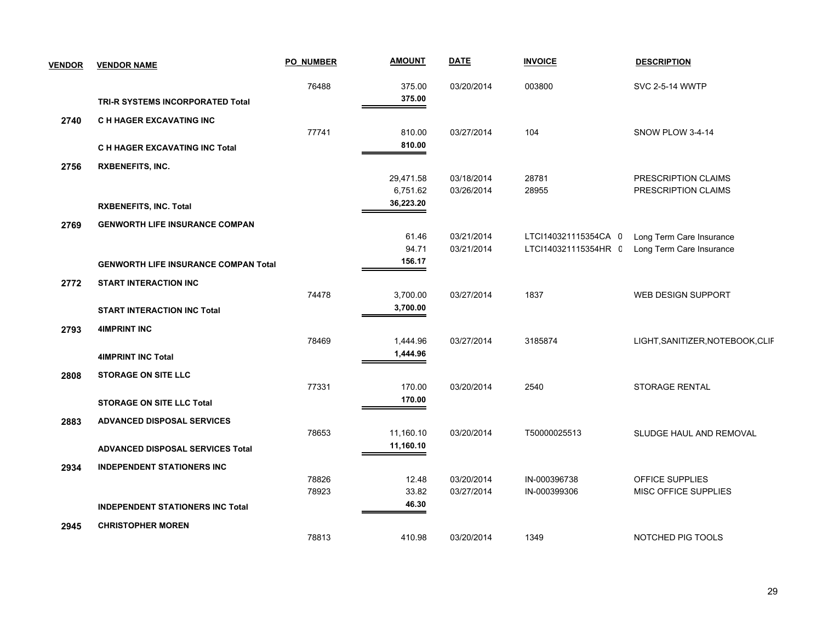| <b>VENDOR</b> | <b>VENDOR NAME</b>                          | PO NUMBER | <b>AMOUNT</b>   | <b>DATE</b> | <b>INVOICE</b>       | <b>DESCRIPTION</b>               |
|---------------|---------------------------------------------|-----------|-----------------|-------------|----------------------|----------------------------------|
|               |                                             | 76488     | 375.00          | 03/20/2014  | 003800               | <b>SVC 2-5-14 WWTP</b>           |
|               | TRI-R SYSTEMS INCORPORATED Total            |           | 375.00          |             |                      |                                  |
| 2740          | <b>C H HAGER EXCAVATING INC</b>             |           |                 |             |                      |                                  |
|               |                                             | 77741     | 810.00          | 03/27/2014  | 104                  | SNOW PLOW 3-4-14                 |
|               | C H HAGER EXCAVATING INC Total              |           | 810.00          |             |                      |                                  |
| 2756          | <b>RXBENEFITS, INC.</b>                     |           |                 |             |                      |                                  |
|               |                                             |           | 29,471.58       | 03/18/2014  | 28781                | PRESCRIPTION CLAIMS              |
|               |                                             |           | 6,751.62        | 03/26/2014  | 28955                | PRESCRIPTION CLAIMS              |
|               | <b>RXBENEFITS, INC. Total</b>               |           | 36,223.20       |             |                      |                                  |
| 2769          | <b>GENWORTH LIFE INSURANCE COMPAN</b>       |           |                 |             |                      |                                  |
|               |                                             |           | 61.46           | 03/21/2014  | LTCI140321115354CA 0 | Long Term Care Insurance         |
|               |                                             |           | 94.71<br>156.17 | 03/21/2014  | LTCI140321115354HR C | Long Term Care Insurance         |
|               | <b>GENWORTH LIFE INSURANCE COMPAN Total</b> |           |                 |             |                      |                                  |
| 2772          | <b>START INTERACTION INC</b>                |           |                 |             |                      |                                  |
|               |                                             | 74478     | 3,700.00        | 03/27/2014  | 1837                 | <b>WEB DESIGN SUPPORT</b>        |
|               | <b>START INTERACTION INC Total</b>          |           | 3,700.00        |             |                      |                                  |
| 2793          | <b>4IMPRINT INC</b>                         |           |                 |             |                      |                                  |
|               |                                             | 78469     | 1,444.96        | 03/27/2014  | 3185874              | LIGHT, SANITIZER, NOTEBOOK, CLIF |
|               | <b>4IMPRINT INC Total</b>                   |           | 1,444.96        |             |                      |                                  |
| 2808          | <b>STORAGE ON SITE LLC</b>                  |           |                 |             |                      |                                  |
|               |                                             | 77331     | 170.00          | 03/20/2014  | 2540                 | <b>STORAGE RENTAL</b>            |
|               | <b>STORAGE ON SITE LLC Total</b>            |           | 170.00          |             |                      |                                  |
| 2883          | <b>ADVANCED DISPOSAL SERVICES</b>           |           |                 |             |                      |                                  |
|               |                                             | 78653     | 11,160.10       | 03/20/2014  | T50000025513         | SLUDGE HAUL AND REMOVAL          |
|               | <b>ADVANCED DISPOSAL SERVICES Total</b>     |           | 11,160.10       |             |                      |                                  |
| 2934          | <b>INDEPENDENT STATIONERS INC</b>           |           |                 |             |                      |                                  |
|               |                                             | 78826     | 12.48           | 03/20/2014  | IN-000396738         | OFFICE SUPPLIES                  |
|               |                                             | 78923     | 33.82           | 03/27/2014  | IN-000399306         | MISC OFFICE SUPPLIES             |
|               | <b>INDEPENDENT STATIONERS INC Total</b>     |           | 46.30<br>=      |             |                      |                                  |
| 2945          | <b>CHRISTOPHER MOREN</b>                    |           |                 |             |                      |                                  |
|               |                                             | 78813     | 410.98          | 03/20/2014  | 1349                 | NOTCHED PIG TOOLS                |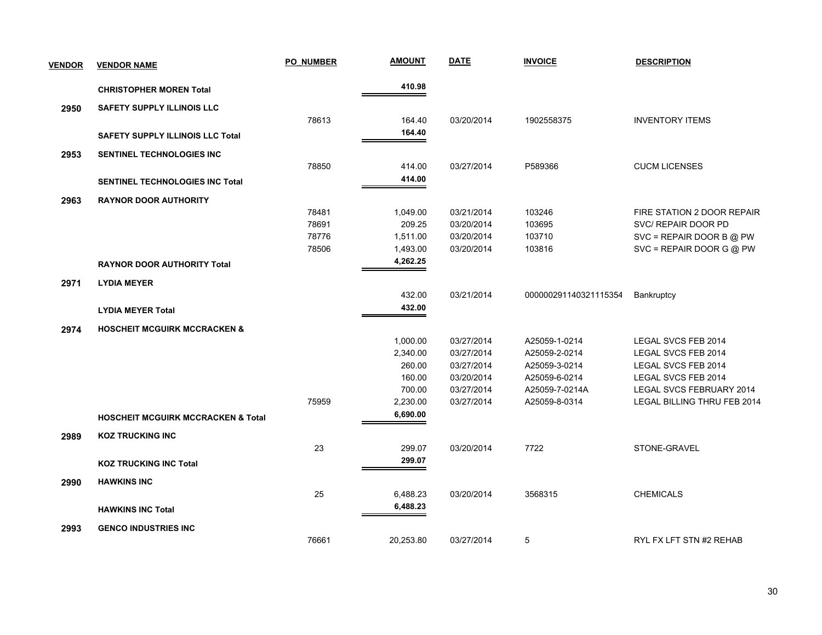| <b>VENDOR</b> | <b>VENDOR NAME</b>                            | <b>PO NUMBER</b> | <b>AMOUNT</b> | <b>DATE</b> | <b>INVOICE</b>        | <b>DESCRIPTION</b>          |
|---------------|-----------------------------------------------|------------------|---------------|-------------|-----------------------|-----------------------------|
|               | <b>CHRISTOPHER MOREN Total</b>                |                  | 410.98        |             |                       |                             |
| 2950          | <b>SAFETY SUPPLY ILLINOIS LLC</b>             |                  |               |             |                       |                             |
|               |                                               | 78613            | 164.40        | 03/20/2014  | 1902558375            | <b>INVENTORY ITEMS</b>      |
|               | <b>SAFETY SUPPLY ILLINOIS LLC Total</b>       |                  | 164.40        |             |                       |                             |
| 2953          | SENTINEL TECHNOLOGIES INC                     |                  |               |             |                       |                             |
|               |                                               | 78850            | 414.00        | 03/27/2014  | P589366               | <b>CUCM LICENSES</b>        |
|               | <b>SENTINEL TECHNOLOGIES INC Total</b>        |                  | 414.00        |             |                       |                             |
| 2963          | <b>RAYNOR DOOR AUTHORITY</b>                  |                  |               |             |                       |                             |
|               |                                               | 78481            | 1,049.00      | 03/21/2014  | 103246                | FIRE STATION 2 DOOR REPAIR  |
|               |                                               | 78691            | 209.25        | 03/20/2014  | 103695                | SVC/ REPAIR DOOR PD         |
|               |                                               | 78776            | 1,511.00      | 03/20/2014  | 103710                | $SVC = REPAIR DOOR B @ PW$  |
|               |                                               | 78506            | 1,493.00      | 03/20/2014  | 103816                | $SVC = REPAIR DOOR G @ PW$  |
|               | <b>RAYNOR DOOR AUTHORITY Total</b>            |                  | 4,262.25      |             |                       |                             |
| 2971          | <b>LYDIA MEYER</b>                            |                  |               |             |                       |                             |
|               |                                               |                  | 432.00        | 03/21/2014  | 000000291140321115354 | Bankruptcy                  |
|               | <b>LYDIA MEYER Total</b>                      |                  | 432.00        |             |                       |                             |
| 2974          | <b>HOSCHEIT MCGUIRK MCCRACKEN &amp;</b>       |                  |               |             |                       |                             |
|               |                                               |                  | 1,000.00      | 03/27/2014  | A25059-1-0214         | LEGAL SVCS FEB 2014         |
|               |                                               |                  | 2,340.00      | 03/27/2014  | A25059-2-0214         | LEGAL SVCS FEB 2014         |
|               |                                               |                  | 260.00        | 03/27/2014  | A25059-3-0214         | LEGAL SVCS FEB 2014         |
|               |                                               |                  | 160.00        | 03/20/2014  | A25059-6-0214         | LEGAL SVCS FEB 2014         |
|               |                                               |                  | 700.00        | 03/27/2014  | A25059-7-0214A        | LEGAL SVCS FEBRUARY 2014    |
|               |                                               | 75959            | 2,230.00      | 03/27/2014  | A25059-8-0314         | LEGAL BILLING THRU FEB 2014 |
|               | <b>HOSCHEIT MCGUIRK MCCRACKEN &amp; Total</b> |                  | 6,690.00      |             |                       |                             |
| 2989          | <b>KOZ TRUCKING INC</b>                       |                  |               |             |                       |                             |
|               |                                               | 23               | 299.07        | 03/20/2014  | 7722                  | STONE-GRAVEL                |
|               | <b>KOZ TRUCKING INC Total</b>                 |                  | 299.07        |             |                       |                             |
| 2990          | <b>HAWKINS INC</b>                            |                  |               |             |                       |                             |
|               |                                               | 25               | 6,488.23      | 03/20/2014  | 3568315               | <b>CHEMICALS</b>            |
|               | <b>HAWKINS INC Total</b>                      |                  | 6,488.23      |             |                       |                             |
| 2993          | <b>GENCO INDUSTRIES INC</b>                   |                  |               |             |                       |                             |
|               |                                               | 76661            | 20,253.80     | 03/27/2014  | 5                     | RYL FX LFT STN #2 REHAB     |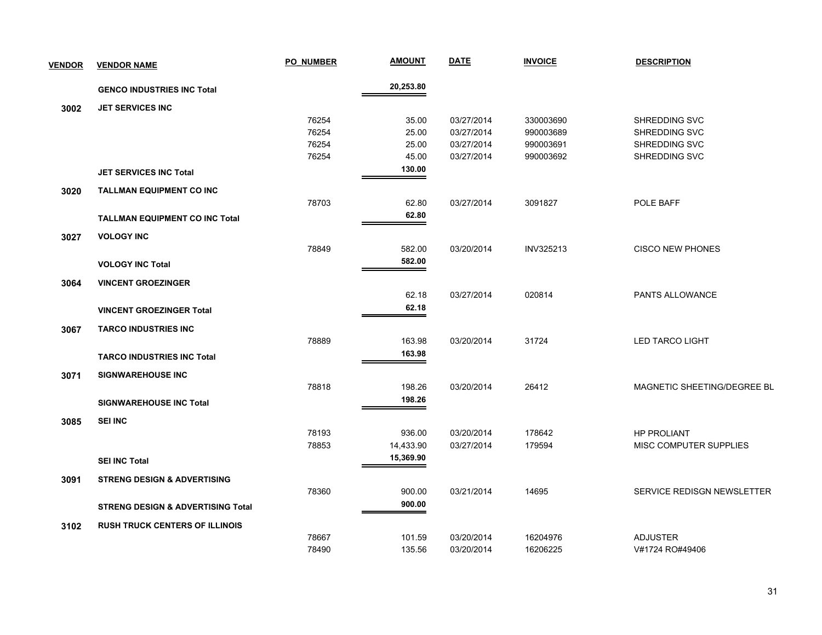| <b>VENDOR</b> | <b>VENDOR NAME</b>                           | <b>PO NUMBER</b> | <u>AMOUNT</u> | <b>DATE</b> | <b>INVOICE</b>   | <b>DESCRIPTION</b>          |
|---------------|----------------------------------------------|------------------|---------------|-------------|------------------|-----------------------------|
|               | <b>GENCO INDUSTRIES INC Total</b>            |                  | 20,253.80     |             |                  |                             |
| 3002          | <b>JET SERVICES INC</b>                      |                  |               |             |                  |                             |
|               |                                              | 76254            | 35.00         | 03/27/2014  | 330003690        | SHREDDING SVC               |
|               |                                              | 76254            | 25.00         | 03/27/2014  | 990003689        | SHREDDING SVC               |
|               |                                              | 76254            | 25.00         | 03/27/2014  | 990003691        | SHREDDING SVC               |
|               |                                              | 76254            | 45.00         | 03/27/2014  | 990003692        | SHREDDING SVC               |
|               | <b>JET SERVICES INC Total</b>                |                  | 130.00        |             |                  |                             |
| 3020          | <b>TALLMAN EQUIPMENT CO INC</b>              |                  |               |             |                  |                             |
|               |                                              | 78703            | 62.80         | 03/27/2014  | 3091827          | POLE BAFF                   |
|               | <b>TALLMAN EQUIPMENT CO INC Total</b>        |                  | 62.80         |             |                  |                             |
| 3027          | <b>VOLOGY INC</b>                            |                  |               |             |                  |                             |
|               |                                              | 78849            | 582.00        | 03/20/2014  | <b>INV325213</b> | <b>CISCO NEW PHONES</b>     |
|               | <b>VOLOGY INC Total</b>                      |                  | 582.00        |             |                  |                             |
| 3064          | <b>VINCENT GROEZINGER</b>                    |                  |               |             |                  |                             |
|               |                                              |                  | 62.18         | 03/27/2014  | 020814           | PANTS ALLOWANCE             |
|               | <b>VINCENT GROEZINGER Total</b>              |                  | 62.18         |             |                  |                             |
| 3067          | <b>TARCO INDUSTRIES INC</b>                  |                  |               |             |                  |                             |
|               |                                              | 78889            | 163.98        | 03/20/2014  | 31724            | <b>LED TARCO LIGHT</b>      |
|               | <b>TARCO INDUSTRIES INC Total</b>            |                  | 163.98        |             |                  |                             |
| 3071          | <b>SIGNWAREHOUSE INC</b>                     |                  |               |             |                  |                             |
|               |                                              | 78818            | 198.26        | 03/20/2014  | 26412            | MAGNETIC SHEETING/DEGREE BL |
|               | <b>SIGNWAREHOUSE INC Total</b>               |                  | 198.26        |             |                  |                             |
| 3085          | <b>SEI INC</b>                               |                  |               |             |                  |                             |
|               |                                              | 78193            | 936.00        | 03/20/2014  | 178642           | <b>HP PROLIANT</b>          |
|               |                                              | 78853            | 14,433.90     | 03/27/2014  | 179594           | MISC COMPUTER SUPPLIES      |
|               | <b>SEI INC Total</b>                         |                  | 15,369.90     |             |                  |                             |
| 3091          | <b>STRENG DESIGN &amp; ADVERTISING</b>       |                  |               |             |                  |                             |
|               |                                              | 78360            | 900.00        | 03/21/2014  | 14695            | SERVICE REDISGN NEWSLETTER  |
|               | <b>STRENG DESIGN &amp; ADVERTISING Total</b> |                  | 900.00        |             |                  |                             |
| 3102          | <b>RUSH TRUCK CENTERS OF ILLINOIS</b>        |                  |               |             |                  |                             |
|               |                                              | 78667            | 101.59        | 03/20/2014  | 16204976         | <b>ADJUSTER</b>             |
|               |                                              | 78490            | 135.56        | 03/20/2014  | 16206225         | V#1724 RO#49406             |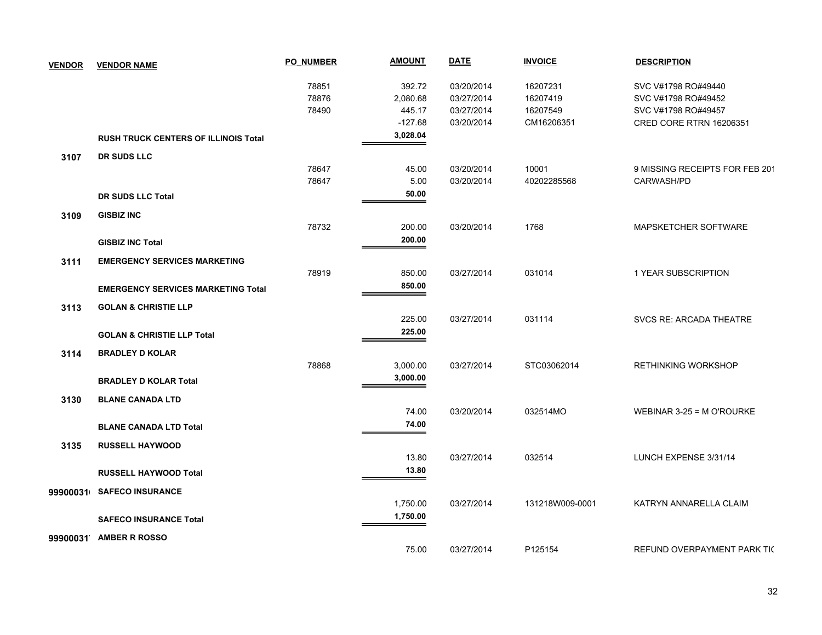| <b>VENDOR</b> | <b>VENDOR NAME</b>                          | <b>PO NUMBER</b> | <b>AMOUNT</b> | <b>DATE</b> | <b>INVOICE</b>  | <b>DESCRIPTION</b>             |
|---------------|---------------------------------------------|------------------|---------------|-------------|-----------------|--------------------------------|
|               |                                             | 78851            | 392.72        | 03/20/2014  | 16207231        | SVC V#1798 RO#49440            |
|               |                                             | 78876            | 2,080.68      | 03/27/2014  | 16207419        | SVC V#1798 RO#49452            |
|               |                                             | 78490            | 445.17        | 03/27/2014  | 16207549        | SVC V#1798 RO#49457            |
|               |                                             |                  | $-127.68$     | 03/20/2014  | CM16206351      | CRED CORE RTRN 16206351        |
|               | <b>RUSH TRUCK CENTERS OF ILLINOIS Total</b> |                  | 3,028.04      |             |                 |                                |
| 3107          | <b>DR SUDS LLC</b>                          |                  |               |             |                 |                                |
|               |                                             | 78647            | 45.00         | 03/20/2014  | 10001           | 9 MISSING RECEIPTS FOR FEB 201 |
|               |                                             | 78647            | 5.00          | 03/20/2014  | 40202285568     | CARWASH/PD                     |
|               | DR SUDS LLC Total                           |                  | 50.00         |             |                 |                                |
| 3109          | <b>GISBIZ INC</b>                           |                  |               |             |                 |                                |
|               |                                             | 78732            | 200.00        | 03/20/2014  | 1768            | <b>MAPSKETCHER SOFTWARE</b>    |
|               | <b>GISBIZ INC Total</b>                     |                  | 200.00        |             |                 |                                |
| 3111          | <b>EMERGENCY SERVICES MARKETING</b>         |                  |               |             |                 |                                |
|               |                                             | 78919            | 850.00        | 03/27/2014  | 031014          | 1 YEAR SUBSCRIPTION            |
|               | <b>EMERGENCY SERVICES MARKETING Total</b>   |                  | 850.00        |             |                 |                                |
| 3113          | <b>GOLAN &amp; CHRISTIE LLP</b>             |                  |               |             |                 |                                |
|               |                                             |                  | 225.00        | 03/27/2014  | 031114          | SVCS RE: ARCADA THEATRE        |
|               | <b>GOLAN &amp; CHRISTIE LLP Total</b>       |                  | 225.00        |             |                 |                                |
| 3114          | <b>BRADLEY D KOLAR</b>                      |                  |               |             |                 |                                |
|               |                                             | 78868            | 3,000.00      | 03/27/2014  | STC03062014     | <b>RETHINKING WORKSHOP</b>     |
|               | <b>BRADLEY D KOLAR Total</b>                |                  | 3,000.00      |             |                 |                                |
|               | <b>BLANE CANADA LTD</b>                     |                  |               |             |                 |                                |
| 3130          |                                             |                  | 74.00         | 03/20/2014  | 032514MO        | WEBINAR 3-25 = M O'ROURKE      |
|               | <b>BLANE CANADA LTD Total</b>               |                  | 74.00         |             |                 |                                |
|               |                                             |                  |               |             |                 |                                |
| 3135          | <b>RUSSELL HAYWOOD</b>                      |                  |               |             |                 |                                |
|               |                                             |                  | 13.80         | 03/27/2014  | 032514          | LUNCH EXPENSE 3/31/14          |
|               | <b>RUSSELL HAYWOOD Total</b>                |                  | 13.80         |             |                 |                                |
| 99900031      | <b>SAFECO INSURANCE</b>                     |                  |               |             |                 |                                |
|               |                                             |                  | 1,750.00      | 03/27/2014  | 131218W009-0001 | KATRYN ANNARELLA CLAIM         |
|               | <b>SAFECO INSURANCE Total</b>               |                  | 1,750.00      |             |                 |                                |
| 99900031      | <b>AMBER R ROSSO</b>                        |                  |               |             |                 |                                |
|               |                                             |                  | 75.00         | 03/27/2014  | P125154         | REFUND OVERPAYMENT PARK TIC    |